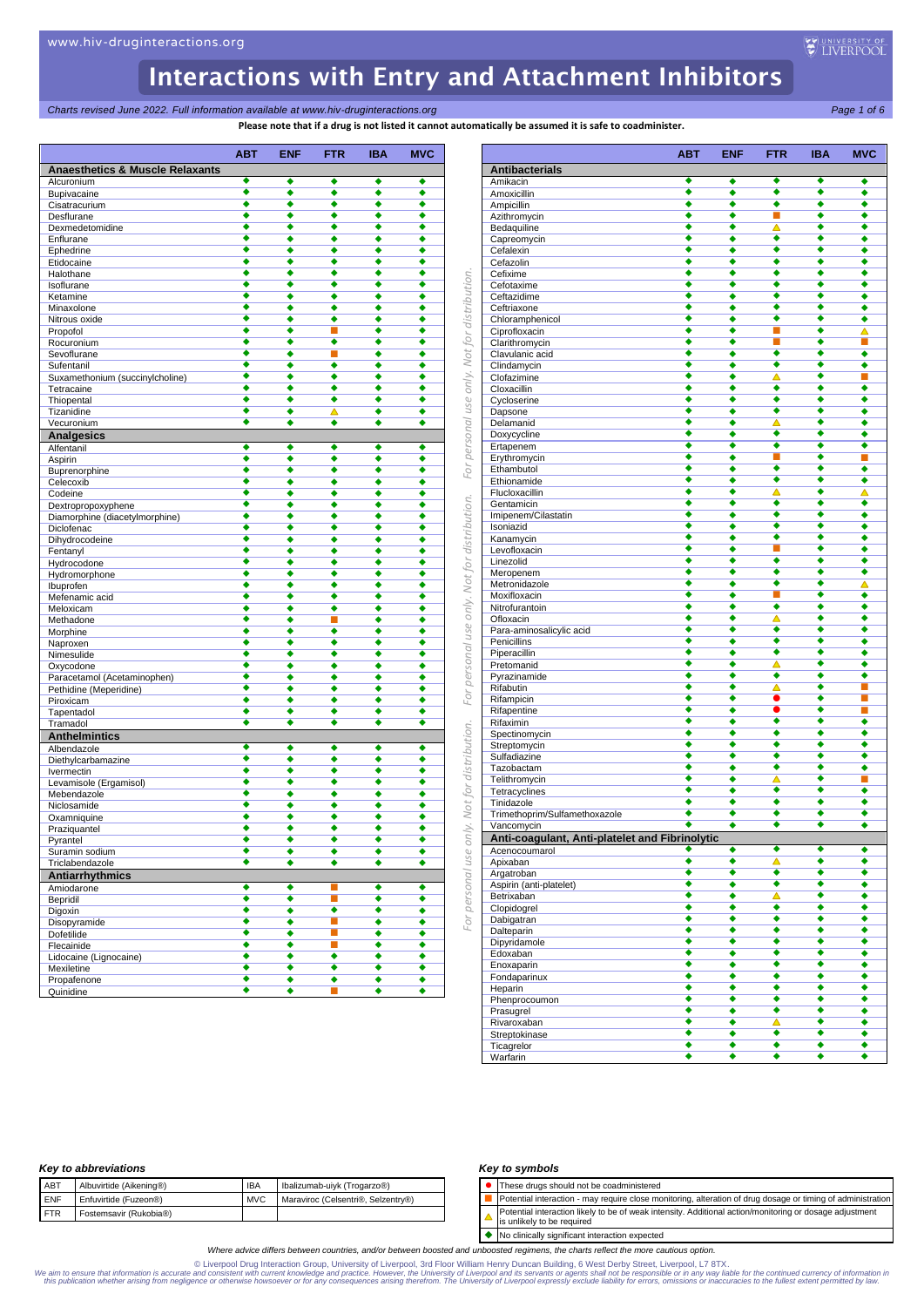**Charts revised June 2022. Full information available at www.hiv-druginteractions.org** Page 1 of 6<sup>2</sup>

**Please note that if a drug is not listed it cannot automatically be assumed it is safe to coadminister.**

|                                            |                           | $\alpha$ rease note that if a urug is not ifsted it cannot automatically |                      |                      |            |
|--------------------------------------------|---------------------------|--------------------------------------------------------------------------|----------------------|----------------------|------------|
|                                            | <b>ABT</b>                | <b>ENF</b>                                                               | <b>FTR</b>           | <b>IBA</b>           | <b>MVC</b> |
| <b>Anaesthetics &amp; Muscle Relaxants</b> |                           |                                                                          |                      |                      |            |
| Alcuronium                                 | ٠                         | ٠                                                                        | ٠                    | ٠                    | ٠          |
| Bupivacaine                                | ٠<br>٠                    | ٠<br>◆                                                                   | ٠<br>٠               | ٠<br>◆               | ٠<br>٠     |
| Cisatracurium<br>Desflurane                | ٠                         | ٠                                                                        | ٠                    | ٠                    | ٠          |
| Dexmedetomidine                            | ٠                         | ٠                                                                        | ٠                    | ٠                    | ٠          |
| Enflurane                                  | ٠                         | ٠                                                                        | ٠                    | ٠                    | ٠          |
| Ephedrine                                  | ٠                         | ٠                                                                        | ٠                    | ٠                    | ٠          |
| Etidocaine                                 | ٠                         | ٠                                                                        | ٠                    | ٠                    | ٠          |
| Halothane                                  | ٠                         | ٠                                                                        | ٠                    | ٠                    | ٠          |
| Isoflurane                                 | ٠                         | ٠                                                                        | ٠                    | ٠                    | ٠          |
| Ketamine                                   | ٠<br>٠                    | ٠                                                                        | ٠                    | ٠                    | ٠          |
| Minaxolone<br>Nitrous oxide                | ٠                         | ٠<br>٠                                                                   | ٠<br>٠               | ٠<br>٠               | ٠<br>٠     |
| Propofol                                   | ٠                         | ٠                                                                        | ▄                    | ٠                    | ٠          |
| Rocuronium                                 | ٠                         | ٠                                                                        | ٠                    | ٠                    | ٠          |
| Sevoflurane                                | ٠                         | ٠                                                                        | п                    | ٠                    | ٠          |
| Sufentanil                                 | ٠                         | ٠                                                                        | ٠                    | ٠                    | ٠          |
| Suxamethonium (succinylcholine)            | ٠                         | ٠                                                                        | ٠                    | ٠                    | ٠          |
| Tetracaine                                 | ٠                         | ٠                                                                        | ٠                    | ٠                    | ٠          |
| Thiopental                                 | ٠                         | ٠                                                                        | ٠                    | ٠                    | ٠          |
| Tizanidine                                 | ٠<br>٠                    | ٠<br>٠                                                                   | ▵<br>٠               | ٠<br>٠               | ٠<br>٠     |
| Vecuronium                                 |                           |                                                                          |                      |                      |            |
| <b>Analgesics</b>                          | ٠                         | ٠                                                                        | ٠                    | ٠                    | ٠          |
| Alfentanil<br>Aspirin                      | ٠                         | ٠                                                                        | ٠                    | ٠                    | ٠          |
| Buprenorphine                              | ٠                         | ٠                                                                        | ٠                    | ٠                    | ٠          |
| Celecoxib                                  | ٠                         | ٠                                                                        | ٠                    | ٠                    | ٠          |
| Codeine                                    | ٠                         | ٠                                                                        | ٠                    | ٠                    | ٠          |
| Dextropropoxyphene                         | ٠                         | ٠                                                                        | ٠                    | ٠                    | ٠          |
| Diamorphine (diacetylmorphine)             | ۰                         | ٠                                                                        | ۰                    | ٠                    | ٠          |
| Diclofenac                                 | ٠                         | ٠                                                                        | ٠                    | ٠                    | ٠          |
| Dihydrocodeine                             | ٠                         | ٠                                                                        | ٠                    | ٠                    | ٠          |
| Fentanyl                                   | ٠                         | ٠                                                                        | ٠                    | ٠                    | ٠          |
| Hydrocodone                                | ٠<br>٠                    | ٠                                                                        | ٠                    | ٠                    | ٠          |
| Hydromorphone                              | ٠                         | ٠<br>٠                                                                   | ٠<br>٠               | ٠<br>٠               | ٠<br>٠     |
| Ibuprofen<br>Mefenamic acid                | ٠                         | ٠                                                                        | ٠                    | ٠                    | ٠          |
| Meloxicam                                  | ٠                         | ٠                                                                        | ٠                    | ٠                    | ٠          |
| Methadone                                  | ٠                         | ٠                                                                        | П                    | ٠                    | ٠          |
| Morphine                                   | ٠                         | ٠                                                                        | ٠                    | ٠                    | ٠          |
| Naproxen                                   | ٠                         | ٠                                                                        | ٠                    | ٠                    | ٠          |
| Nimesulide                                 | ٠                         | ٠                                                                        | ٠                    | ٠                    | ٠          |
| Oxycodone                                  | ۰                         | ٠                                                                        | ٠                    | ٠                    | ٠          |
| Paracetamol (Acetaminophen)                | ٠                         | ٠                                                                        | ٠                    | ٠                    | ٠          |
| Pethidine (Meperidine)                     | ٠                         | ٠                                                                        | ٠                    | ٠                    | ٠          |
| Piroxicam                                  | $\overline{\bullet}$<br>٠ | ٠                                                                        | $\overline{\bullet}$ | $\overline{\bullet}$ | ٠          |
| Tapentadol                                 | ٠                         | ٠<br>٠                                                                   | ٠<br>٠               | ٠<br>٠               | ٠          |
| Tramadol<br><b>Anthelmintics</b>           |                           |                                                                          |                      |                      | ٠          |
| Albendazole                                | ٠                         | ٠                                                                        | ٠                    | ٠                    | ٠          |
| Diethylcarbamazine                         | ٠                         | ٠                                                                        | ٠                    | ٠                    | ٠          |
| Ivermectin                                 | ٠                         | ٠                                                                        | ٠                    | ٠                    | ٠          |
| Levamisole (Ergamisol)                     | ٠                         | ٠                                                                        | ٠                    | ٠                    | ٠          |
| Mebendazole                                | ٠                         | ٠                                                                        | ٠                    | ٠                    | ٠          |
| Niclosamide                                | ٠                         | ٠                                                                        | ٠                    | ٠                    | ٠          |
| Oxamniquine                                | ٠                         | ٠                                                                        | ٠                    | ٠                    | ٠          |
| Praziquantel                               |                           | ٠                                                                        | ٠                    | ٠                    | ٠          |
| Pyrantel                                   | ٠                         | ٠                                                                        | ٠                    | ٠                    | ٠          |
| Suramin sodium                             | ٠                         | ٠                                                                        | ٠                    | ٠                    | ٠          |
| Triclabendazole                            | ٠                         | ٠                                                                        | ٠                    | ٠                    | ٠          |
| Antiarrhythmics                            |                           |                                                                          |                      |                      |            |
| Amiodarone                                 | ٠<br>٠                    | ۰                                                                        | $\blacksquare$<br>п  | ٠                    | ٠          |
| Bepridil                                   | ٠                         | ٠<br>٠                                                                   | ٠                    | ٠<br>٠               | ٠          |
| Digoxin                                    | ٠                         | ٠                                                                        | П                    | ٠                    | ٠<br>٠     |
| Disopyramide<br>Dofetilide                 | ٠                         | ٠                                                                        | П                    | ٠                    | ٠          |
| Flecainide                                 | ◆                         | ٠                                                                        | П                    | ٠                    | ٠          |
| Lidocaine (Lignocaine)                     | $\overline{\bullet}$      | ٠                                                                        | ٠                    | ٠                    | ٠          |
| Mexiletine                                 | ◆                         | ٠                                                                        | ٠                    | ٠                    | ٠          |
| Propafenone                                | ٠                         | ٠                                                                        | ٠                    | ٠                    | ٠          |
| Quinidine                                  | ٠                         | ٠                                                                        | П                    | ٠                    | ٠          |
|                                            |                           |                                                                          |                      |                      |            |

|                                                | <b>ABT</b> | <b>ENF</b> | <b>FTR</b>                  | <b>IBA</b>           | <b>MVC</b>           |
|------------------------------------------------|------------|------------|-----------------------------|----------------------|----------------------|
| <b>Antibacterials</b>                          |            |            |                             |                      |                      |
| Amikacin                                       | ٠          | ٠          | ٠                           | ٠                    | ٠                    |
| Amoxicillin                                    | ٠          | ٠          | ٠                           | $\overline{\bullet}$ | $\overline{\bullet}$ |
| Ampicillin                                     | ٠<br>٠     | ٠<br>٠     | ٠<br>п                      | ٠<br>٠               | ٠<br>٠               |
| Azithromycin<br>Bedaquiline                    | ٠          | ٠          | Δ                           | ٠                    | ٠                    |
| Capreomycin                                    | ٠          | ٠          | ٠                           | ٠                    | ٠                    |
| Cefalexin                                      | ٠          | ٠          | ٠                           | ٠                    | ٠                    |
| Cefazolin                                      | ٠          | ٠          | ٠                           | ٠                    | ٠                    |
| Cefixime                                       | ٠          | ٠          | ٠<br>٠                      | ٠<br>٠               | ٠                    |
| Cefotaxime<br>Ceftazidime                      | ٠<br>٠     | ٠<br>٠     | ٠                           | ٠                    | ٠<br>٠               |
| Ceftriaxone                                    | ٠          | ٠          | ٠                           | ٠                    | ٠                    |
| Chloramphenicol                                | ٠          | ٠          | ٠                           | ٠                    | ٠                    |
| Ciprofloxacin                                  | ٠          | ٠          | n a                         | ٠                    | △                    |
| Clarithromycin                                 | ٠<br>٠     | ٠          | п<br>٠                      | ٠<br>٠               | П                    |
| Clavulanic acid<br>Clindamycin                 | ٠          | ٠          | ٠                           | ٠                    | ٠<br>٠               |
| Clofazimine                                    | ٠          | ٠          | Δ                           | ٠                    | П                    |
| Cloxacillin                                    | ٠          | ٠          | ٠                           | ٠                    | ٠                    |
| Cycloserine                                    | ٠          | ٠          | ٠                           | ٠                    | ٠                    |
| Dapsone                                        | ٠          | ٠          | ٠                           | ٠                    | ٠                    |
| Delamanid                                      | ٠<br>٠     | ٠<br>٠     | △<br>٠                      | ٠<br>٠               | ٠<br>٠               |
| Doxycycline<br>Ertapenem                       | ٠          | ٠          | ٠                           | ٠                    | ٠                    |
| Erythromycin                                   | ٠          | ٠          | п                           | ٠                    | П                    |
| Ethambutol                                     | ٠          | ٠          | ٠                           | ٠                    | ٠                    |
| Ethionamide                                    | ٠          | ٠          | ٠                           | ٠                    | ٠                    |
| Flucloxacillin                                 | ٠          | ٠          | △                           | ٠                    | Δ                    |
| Gentamicin<br>Imipenem/Cilastatin              | ٠<br>٠     | ٠<br>٠     | ٠<br>٠                      | ٠<br>٠               | ٠<br>٠               |
| Isoniazid                                      | ٠          | ٠          | ٠                           | ٠                    | ٠                    |
| Kanamycin                                      | ٠          | ٠          | ٠                           | ٠                    | ٠                    |
| Levofloxacin                                   |            | ٠          |                             | ▲                    | ٠                    |
| Linezolid                                      | ٠          | ٠          | ٠                           | ٠                    | ٠                    |
| Meropenem                                      | ٠<br>٠     | ٠<br>٠     | ٠<br>٠                      | ٠<br>٠               | ٠                    |
| Metronidazole<br>Moxifloxacin                  | ٠          | ٠          |                             | ٠                    | Δ<br>٠               |
| Nitrofurantoin                                 | ٠          | ٠          | ٠                           | ٠                    | ٠                    |
| Ofloxacin                                      | ٠          | ٠          | Δ                           | ٠                    | ٠                    |
| Para-aminosalicylic acid                       | ٠          | ٠          | ٠                           | ٠                    | ٠                    |
| Penicillins                                    | ٠<br>٠     | ٠          | ٠<br>٠                      | ٠<br>٠               | ٠                    |
| Piperacillin<br>Pretomanid                     | ٠          | ٠<br>٠     | Δ                           | ٠                    | ٠<br>٠               |
| Pyrazinamide                                   | ٠          | ٠          | ٠                           | ٠                    | ٠                    |
| Rifabutin                                      | ٠          | ٠          | Δ                           | ٠                    | П                    |
| Rifampicin                                     | ٠          | ٠          | $\bullet$                   | ٠                    | П                    |
| Rifapentine                                    | ٠<br>∙     | ٠          | $\bullet$<br>٠              | ٠<br>٠               | П                    |
| Rifaximin<br>Spectinomycin                     | ٠          | ٠<br>٠     | ٠                           | ٠                    | ٠<br>٠               |
| Streptomycin                                   | ٠          | ٠          | ٠                           | ٠                    | ٠                    |
| Sulfadiazine                                   | ٠          |            | ٠                           | ٠                    | ٠                    |
| Tazobactam                                     | ٠          | ٠          | ٠                           | ٠                    | ٠                    |
| Telithromycin                                  | ٠          | ٠          | Δ                           | ٠                    | П                    |
| Tetracyclines<br>Tinidazole                    | ٠<br>٠     | ٠<br>٠     | ٠<br>٠                      | ٠<br>٠               | ٠<br>٠               |
| Trimethoprim/Sulfamethoxazole                  | ٠          | ٠          | ٠                           | ٠                    | ٠                    |
| Vancomycin                                     | ٠          | ٠          | ٠                           | ٠                    | ٠                    |
| Anti-coagulant, Anti-platelet and Fibrinolytic |            |            |                             |                      |                      |
| Acenocoumarol                                  | ٠          | ٠          | ٠                           | ٠                    | ٠                    |
| Apixaban                                       | ٠          | ٠          | Δ                           | ٠                    | ٠                    |
| Argatroban                                     | ٠<br>٠     | ٠          | ٠<br>٠                      | ٠<br>٠               | ٠                    |
| Aspirin (anti-platelet)<br>Betrixaban          | ٠          | ٠<br>٠     | $\overline{\blacktriangle}$ | ٠                    | ٠<br>٠               |
| Clopidogrel                                    | ٠          | ٠          | ٠                           | ٠                    | ٠                    |
| Dabigatran                                     | ٠          | ٠          | ٠                           | ٠                    | ٠                    |
| Dalteparin                                     | ٠          | ٠          | ٠                           | ٠                    | ٠                    |
| Dipyridamole                                   | ٠          | ٠          | ٠                           | ٠                    | ٠                    |
| Edoxaban                                       | ٠<br>٠     | ٠<br>٠     | ٠<br>٠                      | ٠<br>٠               | ٠<br>٠               |
| Enoxaparin<br>Fondaparinux                     | ٠          | ٠          | ٠                           | ٠                    | ٠                    |
| Heparin                                        | ٠          | ٠          | ٠                           | ٠                    | ٠                    |
| Phenprocoumon                                  | ٠          | ۰          | ٠                           | ٠                    | ٠                    |
| Prasugrel                                      | ٠          | ٠          | ٠                           | ٠                    | ٠                    |
| Rivaroxaban                                    | ٠          | ٠          | $\overline{\blacktriangle}$ | ٠                    | ٠                    |
| Streptokinase<br>Ticagrelor                    | ٠<br>٠     | ٠<br>٠     | ٠<br>٠                      | ٠<br>٠               | ٠<br>٠               |
| Warfarin                                       | ٠          | ٠          | ٠                           | ٠                    | ٠                    |

### *Key to abbreviations*

| ABT        | Albuvirtide (Aikening®) | <b>IBA</b> | Ibalizumab-uiyk (Trogarzo®)        |
|------------|-------------------------|------------|------------------------------------|
| <b>ENF</b> | Enfuvirtide (Fuzeon®)   | <b>MVC</b> | Maraviroc (Celsentri®, Selzentry®) |
| <b>FTR</b> | Fostemsavir (Rukobia®)  |            |                                    |
|            |                         |            |                                    |

### *Key to symbols*

⚫ These drugs should not be coadministered

- Potential interaction may require close monitoring, alteration of drug dosage or timing of administration
- Potential interaction likely to be of weak intensity. Additional action/monitoring or dosage adjustment  $\blacktriangle$ is unlikely to be required

◆ No clinically significant interaction expected

*Where advice differs between countries, and/or between boosted and unboosted regimens, the charts reflect the more cautious option.*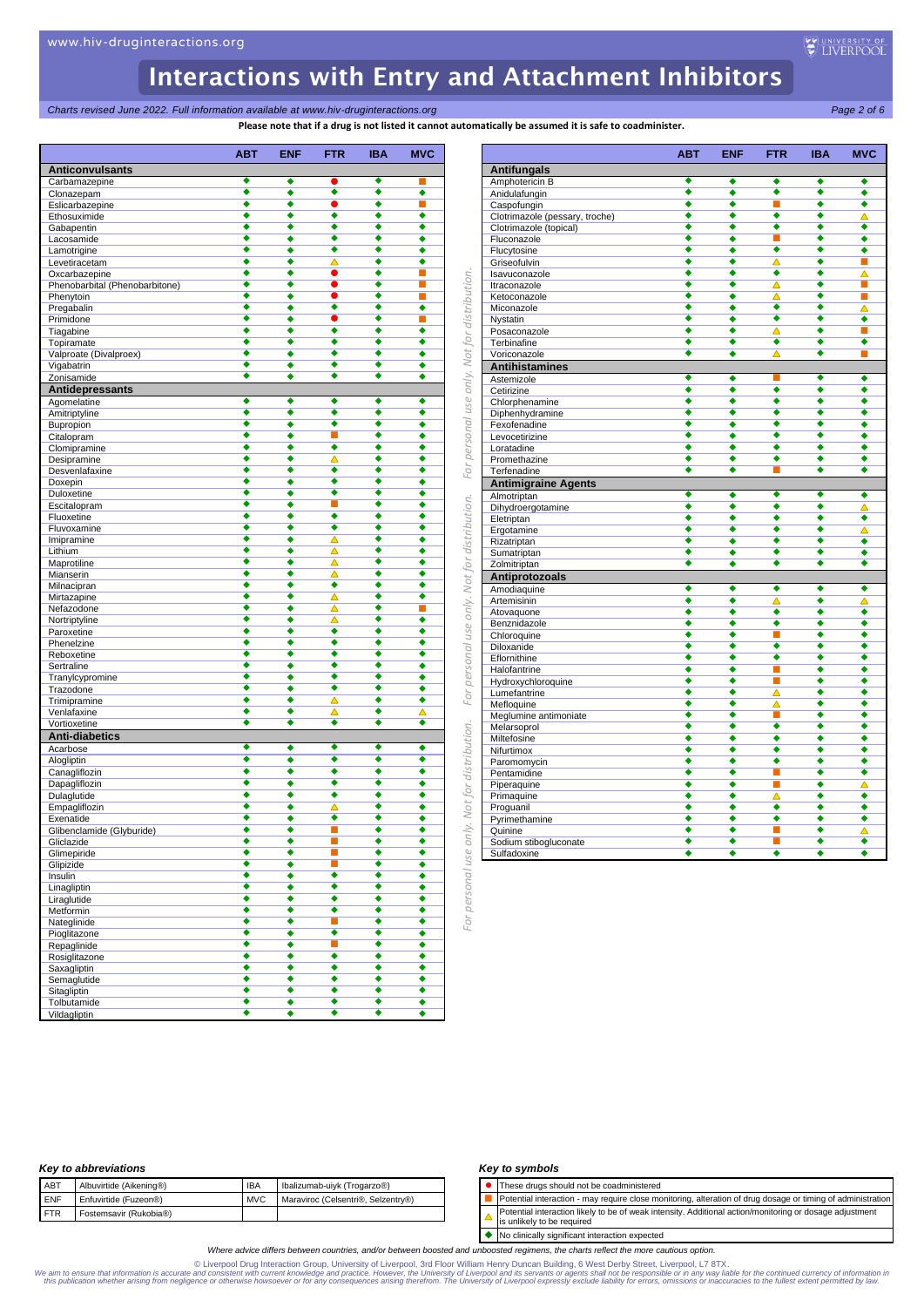*Charts revised June 2022. Full information available at www.hiv-druginteractions.org Page 2 of 6*

**utomatically be assumed it is safe to coadminister.** 

|                                | <b>ABT</b>           | <b>ENF</b>                | <b>FTR</b>                  | <b>IBA</b>                | <b>MVC</b>           |
|--------------------------------|----------------------|---------------------------|-----------------------------|---------------------------|----------------------|
| <b>Anticonvulsants</b>         | ٠                    | ٠                         |                             | ٠                         |                      |
| Carbamazepine<br>Clonazepam    | ٠                    | ٠                         | ٠                           | ٠                         | ٠                    |
| Eslicarbazepine                | ٠                    | ٠                         |                             | ٠                         |                      |
| Ethosuximide                   | ٠                    | ٠                         | ٠                           | ٠                         | ٠                    |
| Gabapentin                     | ٠                    | ٠                         | ٠                           | ٠                         | ٠                    |
| Lacosamide                     | ٠                    | ٠                         | ٠                           | ٠                         | ٠                    |
| Lamotrigine                    | ٠                    | ٠                         | ٠                           | ٠                         | ٠                    |
| Levetiracetam                  | ٠                    | ٠                         | ▵                           | ٠                         | ٠                    |
| Oxcarbazepine                  | ٠                    | ٠                         | $\bullet$                   | ٠                         | п                    |
| Phenobarbital (Phenobarbitone) | ٠                    | ٠                         |                             | ٠                         |                      |
| Phenytoin                      | ٠<br>٠               | ٠                         | $\bullet$<br>٠              | ٠<br>٠                    | п                    |
| Pregabalin<br>Primidone        | $\overline{\bullet}$ | ٠                         | $\bullet$                   | ٠                         | ٠<br>■               |
| Tiagabine                      | $\overline{\bullet}$ | ٠<br>$\overline{\bullet}$ | $\overline{\bullet}$        | $\overline{\bullet}$      | $\overline{\bullet}$ |
| Topiramate                     | ٠                    | ٠                         | ٠                           | ٠                         | ٠                    |
| Valproate (Divalproex)         | ٠                    | ٠                         | ٠                           | ٠                         | ٠                    |
| Vigabatrin                     | ٠                    | ٠                         | ٠                           | ٠                         | ٠                    |
| Zonisamide                     | ٠                    | ٠                         | ٠                           | ٠                         | ٠                    |
| Antidepressants                |                      |                           |                             |                           |                      |
| Agomelatine                    | ٠                    | ٠                         | ٠                           | ٠                         | ٠                    |
| Amitriptyline                  | ٠                    | ٠                         | ٠                           | ٠                         | ٠                    |
| Bupropion                      | ٠                    | ٠                         | ٠                           | ٠                         | ٠                    |
| Citalopram                     | ٠                    | ٠                         | П                           | ٠                         |                      |
| Clomipramine                   | ٠                    | ٠                         | $\overline{\bullet}$        | ٠                         | ٠                    |
| Desipramine                    | $\overline{\bullet}$ | ٠                         | Δ                           | ٠                         | ٠                    |
| Desvenlafaxine                 | ٠                    | ٠                         | ٠                           | ٠                         | ٠                    |
| Doxepin                        | ٠                    | ٠                         | ٠                           | ٠                         | ٠                    |
| Duloxetine                     | ٠                    | ٠                         | ٠                           | ٠                         | ٠                    |
| Escitalopram                   | ٠                    | ٠                         | П                           | ٠<br>$\overline{\bullet}$ | ٠                    |
| Fluoxetine                     | ٠<br>٠               | ٠<br>٠                    | ٠<br>٠                      | ٠                         | ٠<br>٠               |
| Fluvoxamine<br>Imipramine      | ٠                    | ٠                         | Δ                           | ◆                         | ٠                    |
| Lithium                        | ٠                    | ٠                         | Δ                           | ٠                         | ٠                    |
| Maprotiline                    | ٠                    | ٠                         | $\overline{\blacktriangle}$ | ٠                         | ٠                    |
| Mianserin                      | ٠                    | ٠                         | Δ                           | ٠                         | ٠                    |
| Milnacipran                    | ٠                    | ٠                         | ٠                           | ٠                         | ٠                    |
| Mirtazapine                    | ٠                    | ٠                         | Δ                           | ٠                         | ٠                    |
| Nefazodone                     | ٠                    | ٠                         | Δ                           | ٠                         | ■                    |
| Nortriptyline                  | ٠                    | ٠                         | Δ                           | $\overline{\bullet}$      | ٠                    |
| Paroxetine                     | $\overline{\bullet}$ | ٠                         | $\overline{\bullet}$        | ◆                         |                      |
| Phenelzine                     | ٠                    | ٠                         | ٠                           | ٠                         |                      |
| Reboxetine                     | $\overline{\bullet}$ | $\overline{\bullet}$      | ٠                           | ٠                         | ٠                    |
| Sertraline                     | ٠                    | ٠                         | ٠                           | ٠                         | ٠                    |
| Tranylcypromine                | ٠                    | ٠                         | ٠                           | ٠                         | ٠                    |
| Trazodone                      | ٠<br>٠               | ٠<br>٠                    | ٠<br>Δ                      | ٠<br>٠                    | ٠<br>٠               |
| Trimipramine<br>Venlafaxine    | ٠                    | ٠                         | Δ                           | ٠                         | △                    |
| Vortioxetine                   | ٠                    | ٠                         | ٠                           | ٠                         | ٠                    |
| <b>Anti-diabetics</b>          |                      |                           |                             |                           |                      |
| Acarbose                       | ٠                    | ٠                         | ٠                           | ٠                         | ٠                    |
| Alogliptin                     | ٠                    | ٠                         | ٠                           | ٠                         |                      |
| Canagliflozin                  | ٠                    | ٠                         | ٠                           | ٠                         | ٠                    |
| Dapagliflozin                  | ٠                    | ٠                         | ٠                           | ٠                         | ٠                    |
| Dulaglutide                    | ٠                    | ٠                         | ٠                           | ٠                         | ٠                    |
| Empagliflozin                  | ٠                    | ٠                         | ▵                           | ٠                         | ٠                    |
| Exenatide                      |                      |                           |                             |                           |                      |
| Glibenclamide (Glyburide)      | ٠                    | ٠                         | $\mathcal{L}_{\mathcal{A}}$ | ٠                         | ٠                    |
| Gliclazide                     | ٠                    | ٠                         | $\mathbb{Z}^2$              | ٠                         | ٠                    |
| Glimepiride                    | ٠                    | ٠                         | п                           | ٠                         | ٠                    |
| Glipizide                      | ٠                    | ٠                         | П                           | ٠                         | ٠                    |
| Insulin                        | ٠                    | ٠                         | $\overline{\bullet}$        | ٠                         | ٠                    |
| Linagliptin                    | ٠                    | ٠                         | ٠                           | ٠                         | ٠                    |
| Liraglutide                    | ٠                    | ٠                         | ٠                           | ٠                         | ٠                    |
| Metformin                      | ٠                    | ٠                         | ٠                           | ∔                         | ٠                    |
| Nateglinide                    | ٠<br>٠               | ٠                         | П<br>٠                      | ٠<br>٠                    | ٠                    |
| Pioglitazone                   | $\overline{\bullet}$ | ٠                         | П                           | ٠                         | ٠                    |
| Repaglinide<br>Rosiglitazone   | ٠                    | ٠<br>٠                    | ٠                           | ٠                         | ٠<br>٠               |
| Saxagliptin                    | ٠                    | ٠                         | ٠                           | ٠                         | ٠                    |
| Semaglutide                    | ٠                    | ٠                         | ٠                           | ٠                         | ٠                    |
| Sitagliptin                    | ٠                    | ٠                         | ٠                           | ٠                         | ٠                    |
| Tolbutamide                    | ٠                    | ٠                         | ٠                           | ٠                         | ٠                    |
| Vildagliptin                   | ٠                    | ٠                         | ٠                           | ٠                         | ٠                    |
|                                |                      |                           |                             |                           |                      |

|                                | <b>ABT</b>           | <b>ENF</b>           | <b>FTR</b>           | <b>IBA</b> | <b>MVC</b> |
|--------------------------------|----------------------|----------------------|----------------------|------------|------------|
| <b>Antifungals</b>             |                      |                      |                      |            |            |
| Amphotericin B                 | ٠                    | ٠                    | ٠                    | ٠          | ٠          |
| Anidulafungin                  | ٠                    | ٠                    | ٠                    | ٠          | ٠          |
| Caspofungin                    | ٠                    | ◆                    | П                    | ٠          |            |
| Clotrimazole (pessary, troche) | ٠                    | ٠                    | ٠                    | ٠          | Δ          |
| Clotrimazole (topical)         | ٠                    | ٠                    | ٠                    | ٠          |            |
| Fluconazole                    | ō                    | ٠                    | П                    | ٠          |            |
| Flucytosine                    | ٠                    | ٠                    | ◆                    | ٠          | ٠          |
| Griseofulvin                   | ٠                    | ٠                    | Δ                    | ٠          |            |
| Isavuconazole                  | ٠                    | ٠                    | ٠                    | ٠          |            |
| Itraconazole                   | $\overline{\bullet}$ | ٠                    | Δ                    | ◆          |            |
| Ketoconazole                   | 4                    | ٠                    | Δ                    | ∙          | п          |
| Miconazole                     | ٠                    | ٠                    | ٠                    | ٠          | ▵          |
| Nystatin                       | ٠                    | ٠                    | ٠                    | ٠          |            |
| Posaconazole                   | $\overline{\bullet}$ | $\overline{\bullet}$ | Δ                    | ٠          |            |
| Terbinafine                    | ٠                    | ٠                    | ٠                    | ٠          |            |
| Voriconazole                   | ∙                    | ◆                    | ▵                    | ∙          | п          |
| <b>Antihistamines</b>          |                      |                      |                      |            |            |
| Astemizole                     | ٠                    | ٠                    | п                    | ٠          |            |
| Cetirizine                     | 4                    | ◆                    | ō                    | 4          |            |
| Chlorphenamine                 | 4                    | ٠                    | ō                    | ٠          |            |
| Diphenhydramine                | $\overline{\bullet}$ | ٠                    | ◆                    | ٠          |            |
| Fexofenadine                   | ٠                    | ٠                    | ٠                    | ٠          |            |
| Levocetirizine                 | ٠                    | ٠                    | ٠                    | ٠          |            |
| Loratadine                     | ◆                    | ٠                    | ٠                    | ٠          |            |
| Promethazine                   | $\overline{\bullet}$ | ٠                    | ō                    | ∙          |            |
| Terfenadine                    | ٠                    | ٠                    | E.                   | ٠          |            |
| <b>Antimigraine Agents</b>     |                      |                      |                      |            |            |
| Almotriptan                    | ٠                    | ٠                    | ٠                    | ٠          |            |
| Dihydroergotamine              | ٠                    | ٠                    | ٠                    | ٠          |            |
| Eletriptan                     | ō                    | ◆                    | $\overline{\bullet}$ | ō          |            |
| Ergotamine                     | ٠                    | ٠                    | ٠                    | ٠          |            |
| Rizatriptan                    | ٠                    | ٠                    | ٠                    | ٠          |            |
| Sumatriptan                    | ٠                    | ٠                    | ∙                    | ٠          |            |
| Zolmitriptan                   | ٠                    | ٠                    | ٠                    | ٠          |            |
| Antiprotozoals                 |                      |                      |                      |            |            |
| Amodiaquine                    | ٠                    | ٠                    | ٠                    | ٠          |            |
| Artemisinin                    | ٠                    | ٠                    | Δ                    | ٠          |            |
| Atovaquone                     | ٠                    | ٠                    | ٠                    | ٠          | Δ          |
| Benznidazole                   | ٠                    | ٠                    | ٠                    | ٠          |            |
| Chloroquine                    | ٠                    | ٠                    | п                    | ٠          | ٠          |
| Diloxanide                     | ۰                    | ٠                    | ٠                    |            |            |
| Eflornithine                   | ٠                    | ◆                    | ō                    | ٠          |            |
| Halofantrine                   | ٠                    | ٠                    | п                    | ٠          | ٠          |
| Hydroxychloroquine             | ٠                    | ٠                    |                      | ٠          |            |
| Lumefantrine                   | ٠                    | ٠                    | ▵                    | ٠          |            |
| Mefloquine                     | ٠                    | ٠                    | Δ                    | ٠          |            |
| Meglumine antimoniate          | ∙                    | ◆                    | п                    | ٠          |            |
| Melarsoprol                    | ٠                    | ٠                    | ٠                    | ٠          |            |
| Miltefosine                    | ٠                    | ٠                    | ٠                    | ٠          |            |
| Nifurtimox                     | ٠                    | ٠                    | ٠                    | ٠          |            |
| Paromomycin                    | ٠                    | ◆                    | ٠                    | ٠          |            |
| Pentamidine                    | ٠                    | ٠                    | п                    | ٠          |            |
| Piperaquine                    | ٠                    | ٠                    | L.                   | ٠          |            |
| Primaquine                     | ٠                    | ٠                    | Δ                    | ٠          |            |
| Proguanil                      | ٠                    | ٠                    | ٠                    | ٠          |            |
| Pyrimethamine                  | ٠                    | ٠                    | ∙                    | ٠          |            |
| Quinine                        | ٠                    | ◆                    | П                    | ٠          |            |
| Sodium stibogluconate          | ٠                    | ٠                    | П                    | ٠          |            |
| Sulfadoxine                    | ٠                    | ٠                    | ٠                    | ٠          |            |
|                                |                      |                      |                      |            |            |
|                                |                      |                      |                      |            |            |
|                                |                      |                      |                      |            |            |
|                                |                      |                      |                      |            |            |
|                                |                      |                      |                      |            |            |

### *Key to abbreviations*

| ABT        | Albuvirtide (Aikening®) | <b>IBA</b> | Ibalizumab-uiyk (Trogarzo®)        |
|------------|-------------------------|------------|------------------------------------|
| <b>ENF</b> | Enfuvirtide (Fuzeon®)   | <b>MVC</b> | Maraviroc (Celsentri®, Selzentrv®) |
| <b>FTR</b> | Fostemsavir (Rukobia®)  |            |                                    |
|            |                         |            |                                    |

#### *Key to symbols*

⚫ These drugs should not be coadministered

- Potential interaction may require close monitoring, alteration of drug dosage or timing of administration Potential interaction likely to be of weak intensity. Additional action/monitoring or dosage adjustment  $\Delta$
- is unlikely to be required ◆ No clinically significant interaction expected

*Where advice differs between countries, and/or between boosted and unboosted regimens, the charts reflect the more cautious option.*

Werpool Drug Interaction Group, University of Liverpool, 3rd Floor William Henry Duncan Building, 6 West Derby Street, Liverpool, L7 8TX.<br>We aim to ensure that information increment who when throwedge and practice. Howev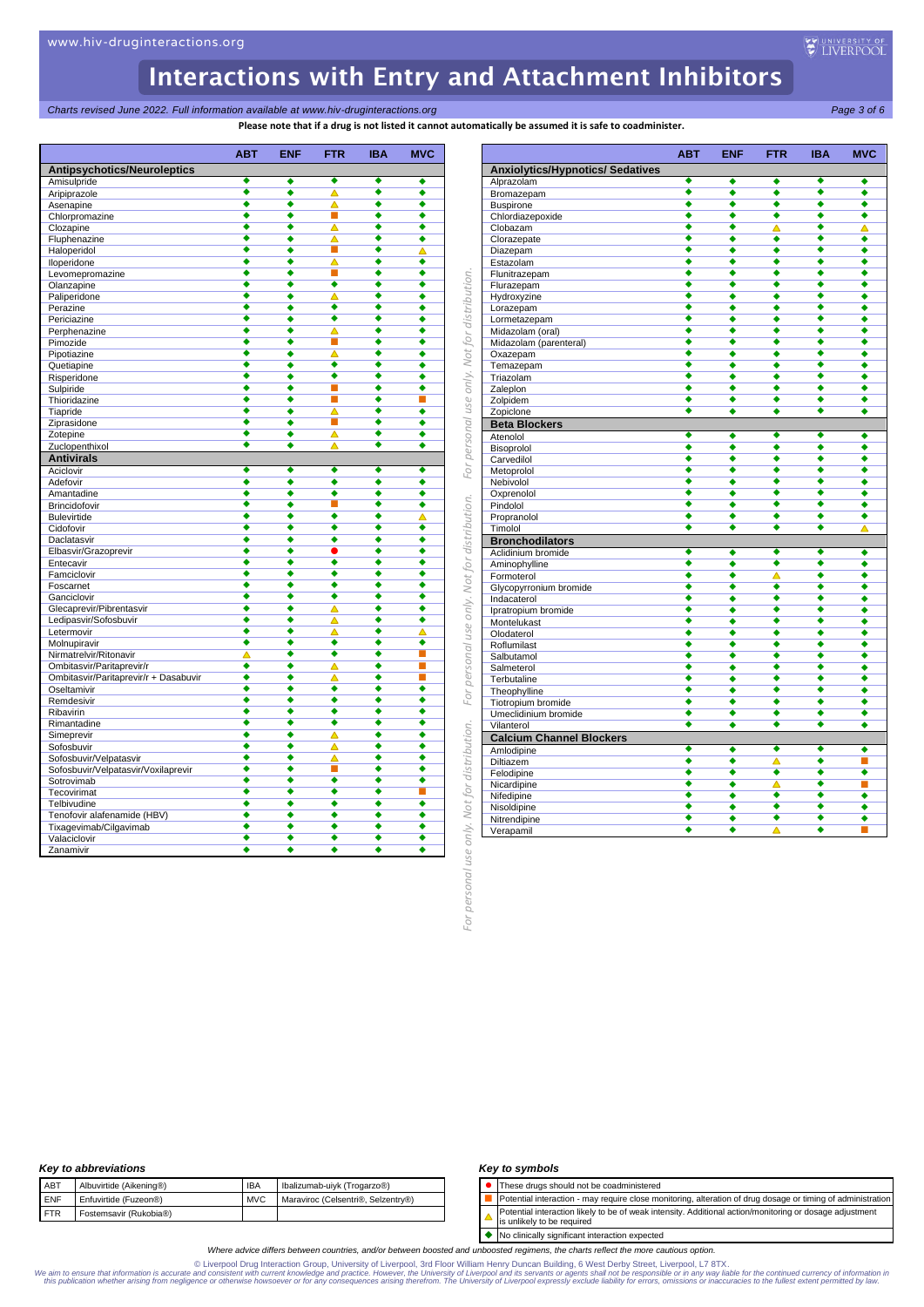*Charts revised June 2022. Full information available at www.hiv-druginteractions.org Page 3 of 6*

**Please note that if a drug is not listed it cannot automatically be assumed it is safe to coadminister.**

|                                       | ABT                       | <b>ENF</b>                | <b>FTR</b>                  | <b>IBA</b>                | <b>MVC</b>                |
|---------------------------------------|---------------------------|---------------------------|-----------------------------|---------------------------|---------------------------|
| <b>Antipsychotics/Neuroleptics</b>    |                           |                           |                             |                           |                           |
| Amisulpride                           | ٠                         | ٠                         | ٠                           | ٠                         | ٠                         |
| Aripiprazole                          | $\overline{\bullet}$      | ◆                         | $\overline{\blacktriangle}$ | ∙                         | ◆                         |
| Asenapine                             | ∙                         | 4                         | ᄌ<br>П                      | ◆                         | 4                         |
| Chlorpromazine                        | ٠<br>٠                    | ٠<br>٠                    | ᄌ                           | ٠<br>ē                    | ٠<br>٠                    |
| Clozapine<br>Fluphenazine             | $\overline{\bullet}$      | ٠                         | Δ                           | ◆                         | ٠                         |
| Haloperidol                           | ٠                         | ٠                         | ш                           | ٠                         | Δ                         |
| Iloperidone                           | ٠                         | ٠                         | Δ                           | ◆                         | ٠                         |
| Levomepromazine                       | ٠                         | ٠                         | П                           | ◆                         | ٠                         |
| Olanzapine                            | ٠                         | ٠                         | $\overline{\bullet}$        | 4                         | ٠                         |
| Paliperidone                          | ٠                         | ٠                         | Δ                           | ٠                         | ٠                         |
| Perazine                              | ٠                         | ٠                         | ∙                           | ◆                         | ٠                         |
| Periciazine                           | ٠                         | ٠                         | $\overline{\bullet}$        | ē                         | ٠                         |
| Perphenazine                          | $\overline{\bullet}$      | ◆                         | ᄌ                           | ◆                         | ◆                         |
| Pimozide                              | ٠                         | ٠                         | П                           | $\overline{\bullet}$      | ٠                         |
| Pipotiazine                           | ٠                         | ٠                         | ∧                           | ◆                         | ٠                         |
| Quetiapine                            | ٠                         | ٠                         | ٠                           | ٠                         | ٠                         |
| Risperidone                           | ٠                         | ٠                         | $\overline{\bullet}$        | $\overline{\bullet}$      | ٠                         |
| Sulpiride                             | ٠                         | ٠                         | п                           | ٠                         | ٠                         |
| Thioridazine                          | ٠                         | ٠                         | п                           | ◆                         | П                         |
| Tiapride                              | $\overline{\bullet}$      | ٠                         | ᄌ                           | ē                         | ∙                         |
| Ziprasidone                           | ٠                         | ٠                         | П                           | ٠                         | ٠                         |
| Zotepine                              | ٠<br>$\overline{\bullet}$ | ٠                         | △                           | ٠<br>◆                    | ٠                         |
| Zuclopenthixol                        |                           | ٠                         | Δ                           |                           | ٠                         |
| <b>Antivirals</b>                     |                           |                           |                             |                           |                           |
| Aciclovir                             | ٠<br>٠                    | ٠<br>٠                    | ٠<br>٠                      | ٠<br>٠                    | ٠<br>٠                    |
| Adefovir                              | ٠                         | ٠                         | ٠                           | ٠                         | ٠                         |
| Amantadine<br>Brincidofovir           | ٠                         | ٠                         | п                           | ٠                         | ٠                         |
| <b>Bulevirtide</b>                    | 4                         | 4                         | $\overline{\bullet}$        | ◆                         | Δ                         |
| Cidofovir                             | ٠                         | ٠                         | ٠                           | ٠                         | ٠                         |
| Daclatasvir                           | ٠                         | ٠                         | ٠                           | ٠                         | ٠                         |
| Elbasvir/Grazoprevir                  | ٠                         | ٠                         |                             | ۵                         | ٠                         |
| Entecavir                             | ٠                         | ∙                         | $\overline{\bullet}$        | ◆                         | ◆                         |
| Famciclovir                           | ٠                         | ٠                         | ٠                           | ٠                         | ٠                         |
| Foscarnet                             | ٠                         | ٠                         | ٠                           | ٠                         | ٠                         |
| Ganciclovir                           | ٠                         | ٠                         | ٠                           | ٠                         | ٠                         |
| Glecaprevir/Pibrentasvir              | ٠                         | ٠                         | ▵                           | ٠                         | ٠                         |
| Ledipasvir/Sofosbuvir                 | ٠                         | ٠                         | Δ                           | ٠                         | ٠                         |
| Letermovir                            | ٠                         | ∙                         | Δ                           | ٠                         | Δ                         |
| Molnupiravir                          | $\overline{\bullet}$      | ٠                         | ٠                           | ◆                         | ٠                         |
| Nirmatrelvir/Ritonavir                | Δ                         | ◆                         | $\overline{\bullet}$        | ◆                         | П                         |
| Ombitasvir/Paritaprevir/r             | ٠                         | ٠                         | Δ                           | ٠                         | П                         |
| Ombitasvir/Paritaprevir/r + Dasabuvir | ٠                         | ٠                         | Δ                           | ٠                         |                           |
| Oseltamivir                           | ٠<br>٠                    | ٠<br>$\overline{\bullet}$ | ٠<br>$\overline{\bullet}$   | ٠<br>$\overline{\bullet}$ | ٠<br>$\overline{\bullet}$ |
| Remdesivir                            | ٠                         | ٠                         | ٠                           | ٠                         | ٠                         |
| Ribavirin                             | ٠                         | ٠                         | ٠                           | ٠                         | ٠                         |
| Rimantadine<br>Simeprevir             | ٠                         | ٠                         | △                           | ۵                         | 4                         |
| Sofosbuvir                            | ٠                         | ٠                         | Δ                           | ٠                         | ٠                         |
| Sofosbuvir/Velpatasvir                | ٠                         | ٠                         | ▵                           | ٠                         | ٠                         |
| Sofosbuvir/Velpatasvir/Voxilaprevir   | ۵                         | ٠                         | п                           | ۵                         | ٠                         |
| Sotrovimab                            | ٠                         | ٠                         | ٠                           | ٠                         | ٠                         |
| Tecovirimat                           | ٠                         | ٠                         | ٠                           | ٠                         |                           |
| Telbivudine                           | ٠                         | ٠                         | ٠                           | ٠                         | ٠                         |
| Tenofovir alafenamide (HBV)           | ٠                         | ٠                         | ٠                           | ٠                         | ٠                         |
| Tixagevimab/Cilgavimab                | ٠                         | ٠                         | ٠                           | ٠                         | ٠                         |
| Valaciclovir                          | ٠                         | ٠                         | ٠                           | ٠                         | ٠                         |
| Zanamivir                             | ٠                         | ٠                         | ٠                           | ∙                         | ٠                         |

| <b>Anxiolytics/Hypnotics/ Sedatives</b><br>Alprazolam<br>٠<br>ō<br>Bromazepam<br><b>Buspirone</b><br>٠<br>Chlordiazepoxide<br>٠<br>٠<br>Clobazam<br>Clorazepate<br>٠<br>٠<br>Diazepam<br>٠<br>Estazolam<br>∙<br>Flunitrazepam<br>ō<br>Flurazepam<br>Hydroxyzine<br>٠<br>٠<br>Lorazepam<br>٠<br>Lormetazepam<br>∙<br>Midazolam (oral)<br>$\overline{\bullet}$<br>Midazolam (parenteral)<br>Oxazepam<br>٠<br>Temazepam<br>ō<br>Triazolam<br>٠<br>Zaleplon<br>٠<br>٠<br>Zolpidem<br>٠<br>Zopiclone<br><b>Beta Blockers</b><br>٠<br>Atenolol<br>٠<br>Bisoprolol<br>Carvedilol<br>٠<br>Metoprolol<br>٠<br>Nebivolol<br>٠<br>Oxprenolol<br>٠<br>Pindolol<br>٠<br>Propranolol<br>٠<br>∙<br>Timolol<br><b>Bronchodilators</b><br>Aclidinium bromide<br>٠<br>Aminophylline<br>ō<br>Formoterol<br>٠<br>Glycopyrronium bromide<br>٠<br>Indacaterol<br>٠<br>Ipratropium bromide<br>∙<br>Montelukast<br>٠<br>Olodaterol<br>٠<br>Roflumilast<br>ō<br>$\overline{\bullet}$<br>Salbutamol | ٠<br>◆<br>◆<br>٠<br>٠<br>٠<br>٠<br>٠<br>٠<br>٠<br>٠<br>٠<br>٠<br>◆<br>٠<br>٠<br>٠<br>٠<br>٠<br>٠<br>٠<br>٠<br>٠<br>٠<br>٠<br>٠<br>٠<br>٠<br>٠<br>٠ | ٠<br>◆<br>٠<br>٠<br>▵<br>٠<br>٠<br>٠<br>٠<br>٠<br>٠<br>٠<br>٠<br>٠<br>٠<br>٠<br>٠<br>٠<br>٠<br>٠<br>٠<br>٠<br>٠<br>٠<br>٠<br>٠<br>◆<br>٠<br>٠ | ٠<br>4<br>٠<br>٠<br>٠<br>٠<br>٠<br>٠<br>∙<br>٠<br>٠<br>٠<br>٠<br>٠<br>4<br>٠<br>ō<br>▲<br>٠<br>٠<br>٠<br>٠<br>٠<br>٠<br>٠<br>٠<br>٠<br>٠<br>٠ |   |
|---------------------------------------------------------------------------------------------------------------------------------------------------------------------------------------------------------------------------------------------------------------------------------------------------------------------------------------------------------------------------------------------------------------------------------------------------------------------------------------------------------------------------------------------------------------------------------------------------------------------------------------------------------------------------------------------------------------------------------------------------------------------------------------------------------------------------------------------------------------------------------------------------------------------------------------------------------------------------|----------------------------------------------------------------------------------------------------------------------------------------------------|-----------------------------------------------------------------------------------------------------------------------------------------------|-----------------------------------------------------------------------------------------------------------------------------------------------|---|
|                                                                                                                                                                                                                                                                                                                                                                                                                                                                                                                                                                                                                                                                                                                                                                                                                                                                                                                                                                           |                                                                                                                                                    |                                                                                                                                               |                                                                                                                                               |   |
|                                                                                                                                                                                                                                                                                                                                                                                                                                                                                                                                                                                                                                                                                                                                                                                                                                                                                                                                                                           |                                                                                                                                                    |                                                                                                                                               |                                                                                                                                               |   |
|                                                                                                                                                                                                                                                                                                                                                                                                                                                                                                                                                                                                                                                                                                                                                                                                                                                                                                                                                                           |                                                                                                                                                    |                                                                                                                                               |                                                                                                                                               |   |
|                                                                                                                                                                                                                                                                                                                                                                                                                                                                                                                                                                                                                                                                                                                                                                                                                                                                                                                                                                           |                                                                                                                                                    |                                                                                                                                               |                                                                                                                                               |   |
|                                                                                                                                                                                                                                                                                                                                                                                                                                                                                                                                                                                                                                                                                                                                                                                                                                                                                                                                                                           |                                                                                                                                                    |                                                                                                                                               |                                                                                                                                               |   |
|                                                                                                                                                                                                                                                                                                                                                                                                                                                                                                                                                                                                                                                                                                                                                                                                                                                                                                                                                                           |                                                                                                                                                    |                                                                                                                                               |                                                                                                                                               |   |
|                                                                                                                                                                                                                                                                                                                                                                                                                                                                                                                                                                                                                                                                                                                                                                                                                                                                                                                                                                           |                                                                                                                                                    |                                                                                                                                               |                                                                                                                                               |   |
|                                                                                                                                                                                                                                                                                                                                                                                                                                                                                                                                                                                                                                                                                                                                                                                                                                                                                                                                                                           |                                                                                                                                                    |                                                                                                                                               |                                                                                                                                               |   |
|                                                                                                                                                                                                                                                                                                                                                                                                                                                                                                                                                                                                                                                                                                                                                                                                                                                                                                                                                                           |                                                                                                                                                    |                                                                                                                                               |                                                                                                                                               |   |
|                                                                                                                                                                                                                                                                                                                                                                                                                                                                                                                                                                                                                                                                                                                                                                                                                                                                                                                                                                           |                                                                                                                                                    |                                                                                                                                               |                                                                                                                                               |   |
|                                                                                                                                                                                                                                                                                                                                                                                                                                                                                                                                                                                                                                                                                                                                                                                                                                                                                                                                                                           |                                                                                                                                                    |                                                                                                                                               |                                                                                                                                               |   |
|                                                                                                                                                                                                                                                                                                                                                                                                                                                                                                                                                                                                                                                                                                                                                                                                                                                                                                                                                                           |                                                                                                                                                    |                                                                                                                                               |                                                                                                                                               |   |
|                                                                                                                                                                                                                                                                                                                                                                                                                                                                                                                                                                                                                                                                                                                                                                                                                                                                                                                                                                           |                                                                                                                                                    |                                                                                                                                               |                                                                                                                                               |   |
|                                                                                                                                                                                                                                                                                                                                                                                                                                                                                                                                                                                                                                                                                                                                                                                                                                                                                                                                                                           |                                                                                                                                                    |                                                                                                                                               |                                                                                                                                               |   |
|                                                                                                                                                                                                                                                                                                                                                                                                                                                                                                                                                                                                                                                                                                                                                                                                                                                                                                                                                                           |                                                                                                                                                    |                                                                                                                                               |                                                                                                                                               |   |
|                                                                                                                                                                                                                                                                                                                                                                                                                                                                                                                                                                                                                                                                                                                                                                                                                                                                                                                                                                           |                                                                                                                                                    |                                                                                                                                               |                                                                                                                                               |   |
|                                                                                                                                                                                                                                                                                                                                                                                                                                                                                                                                                                                                                                                                                                                                                                                                                                                                                                                                                                           |                                                                                                                                                    |                                                                                                                                               |                                                                                                                                               |   |
|                                                                                                                                                                                                                                                                                                                                                                                                                                                                                                                                                                                                                                                                                                                                                                                                                                                                                                                                                                           |                                                                                                                                                    |                                                                                                                                               |                                                                                                                                               |   |
|                                                                                                                                                                                                                                                                                                                                                                                                                                                                                                                                                                                                                                                                                                                                                                                                                                                                                                                                                                           |                                                                                                                                                    |                                                                                                                                               |                                                                                                                                               |   |
|                                                                                                                                                                                                                                                                                                                                                                                                                                                                                                                                                                                                                                                                                                                                                                                                                                                                                                                                                                           |                                                                                                                                                    |                                                                                                                                               |                                                                                                                                               |   |
|                                                                                                                                                                                                                                                                                                                                                                                                                                                                                                                                                                                                                                                                                                                                                                                                                                                                                                                                                                           |                                                                                                                                                    |                                                                                                                                               |                                                                                                                                               |   |
|                                                                                                                                                                                                                                                                                                                                                                                                                                                                                                                                                                                                                                                                                                                                                                                                                                                                                                                                                                           |                                                                                                                                                    |                                                                                                                                               |                                                                                                                                               |   |
|                                                                                                                                                                                                                                                                                                                                                                                                                                                                                                                                                                                                                                                                                                                                                                                                                                                                                                                                                                           |                                                                                                                                                    |                                                                                                                                               |                                                                                                                                               |   |
|                                                                                                                                                                                                                                                                                                                                                                                                                                                                                                                                                                                                                                                                                                                                                                                                                                                                                                                                                                           |                                                                                                                                                    |                                                                                                                                               |                                                                                                                                               |   |
|                                                                                                                                                                                                                                                                                                                                                                                                                                                                                                                                                                                                                                                                                                                                                                                                                                                                                                                                                                           |                                                                                                                                                    |                                                                                                                                               |                                                                                                                                               |   |
|                                                                                                                                                                                                                                                                                                                                                                                                                                                                                                                                                                                                                                                                                                                                                                                                                                                                                                                                                                           |                                                                                                                                                    |                                                                                                                                               |                                                                                                                                               |   |
|                                                                                                                                                                                                                                                                                                                                                                                                                                                                                                                                                                                                                                                                                                                                                                                                                                                                                                                                                                           |                                                                                                                                                    |                                                                                                                                               |                                                                                                                                               |   |
|                                                                                                                                                                                                                                                                                                                                                                                                                                                                                                                                                                                                                                                                                                                                                                                                                                                                                                                                                                           |                                                                                                                                                    |                                                                                                                                               |                                                                                                                                               |   |
|                                                                                                                                                                                                                                                                                                                                                                                                                                                                                                                                                                                                                                                                                                                                                                                                                                                                                                                                                                           |                                                                                                                                                    |                                                                                                                                               |                                                                                                                                               |   |
|                                                                                                                                                                                                                                                                                                                                                                                                                                                                                                                                                                                                                                                                                                                                                                                                                                                                                                                                                                           |                                                                                                                                                    |                                                                                                                                               |                                                                                                                                               |   |
|                                                                                                                                                                                                                                                                                                                                                                                                                                                                                                                                                                                                                                                                                                                                                                                                                                                                                                                                                                           |                                                                                                                                                    |                                                                                                                                               |                                                                                                                                               |   |
|                                                                                                                                                                                                                                                                                                                                                                                                                                                                                                                                                                                                                                                                                                                                                                                                                                                                                                                                                                           |                                                                                                                                                    |                                                                                                                                               |                                                                                                                                               |   |
|                                                                                                                                                                                                                                                                                                                                                                                                                                                                                                                                                                                                                                                                                                                                                                                                                                                                                                                                                                           |                                                                                                                                                    | ∙                                                                                                                                             | ٠                                                                                                                                             |   |
|                                                                                                                                                                                                                                                                                                                                                                                                                                                                                                                                                                                                                                                                                                                                                                                                                                                                                                                                                                           |                                                                                                                                                    |                                                                                                                                               |                                                                                                                                               |   |
|                                                                                                                                                                                                                                                                                                                                                                                                                                                                                                                                                                                                                                                                                                                                                                                                                                                                                                                                                                           | ٠                                                                                                                                                  | ٠                                                                                                                                             | ٠                                                                                                                                             |   |
|                                                                                                                                                                                                                                                                                                                                                                                                                                                                                                                                                                                                                                                                                                                                                                                                                                                                                                                                                                           |                                                                                                                                                    | ٠                                                                                                                                             | 4                                                                                                                                             |   |
|                                                                                                                                                                                                                                                                                                                                                                                                                                                                                                                                                                                                                                                                                                                                                                                                                                                                                                                                                                           | ٠                                                                                                                                                  |                                                                                                                                               | ٠                                                                                                                                             |   |
|                                                                                                                                                                                                                                                                                                                                                                                                                                                                                                                                                                                                                                                                                                                                                                                                                                                                                                                                                                           | ٠<br>٠                                                                                                                                             | ▵<br>٠                                                                                                                                        | ٠                                                                                                                                             |   |
|                                                                                                                                                                                                                                                                                                                                                                                                                                                                                                                                                                                                                                                                                                                                                                                                                                                                                                                                                                           |                                                                                                                                                    | ٠                                                                                                                                             | ٠                                                                                                                                             |   |
|                                                                                                                                                                                                                                                                                                                                                                                                                                                                                                                                                                                                                                                                                                                                                                                                                                                                                                                                                                           | ٠                                                                                                                                                  |                                                                                                                                               |                                                                                                                                               |   |
|                                                                                                                                                                                                                                                                                                                                                                                                                                                                                                                                                                                                                                                                                                                                                                                                                                                                                                                                                                           | ◆                                                                                                                                                  | $\overline{\bullet}$                                                                                                                          | ∙                                                                                                                                             |   |
|                                                                                                                                                                                                                                                                                                                                                                                                                                                                                                                                                                                                                                                                                                                                                                                                                                                                                                                                                                           | ٠                                                                                                                                                  | ٠                                                                                                                                             | ٠                                                                                                                                             |   |
|                                                                                                                                                                                                                                                                                                                                                                                                                                                                                                                                                                                                                                                                                                                                                                                                                                                                                                                                                                           | ٠                                                                                                                                                  | ٠                                                                                                                                             | ٠                                                                                                                                             |   |
|                                                                                                                                                                                                                                                                                                                                                                                                                                                                                                                                                                                                                                                                                                                                                                                                                                                                                                                                                                           | ٠                                                                                                                                                  | ō                                                                                                                                             | ō                                                                                                                                             |   |
|                                                                                                                                                                                                                                                                                                                                                                                                                                                                                                                                                                                                                                                                                                                                                                                                                                                                                                                                                                           | ٠                                                                                                                                                  | $\overline{\bullet}$                                                                                                                          | ō                                                                                                                                             |   |
| ٠<br>Salmeterol                                                                                                                                                                                                                                                                                                                                                                                                                                                                                                                                                                                                                                                                                                                                                                                                                                                                                                                                                           | ٠                                                                                                                                                  | ٠                                                                                                                                             | ٠                                                                                                                                             |   |
| ٠<br>Terbutaline                                                                                                                                                                                                                                                                                                                                                                                                                                                                                                                                                                                                                                                                                                                                                                                                                                                                                                                                                          | ٠                                                                                                                                                  | ٠                                                                                                                                             | ٠                                                                                                                                             |   |
| Theophylline<br>٠                                                                                                                                                                                                                                                                                                                                                                                                                                                                                                                                                                                                                                                                                                                                                                                                                                                                                                                                                         | ٠                                                                                                                                                  | ٠                                                                                                                                             | ٠                                                                                                                                             |   |
| Tiotropium bromide<br>٠                                                                                                                                                                                                                                                                                                                                                                                                                                                                                                                                                                                                                                                                                                                                                                                                                                                                                                                                                   | ٠                                                                                                                                                  | ٠                                                                                                                                             | ٠                                                                                                                                             |   |
| Umeclidinium bromide<br>4                                                                                                                                                                                                                                                                                                                                                                                                                                                                                                                                                                                                                                                                                                                                                                                                                                                                                                                                                 | ٠                                                                                                                                                  | ∙                                                                                                                                             | 4                                                                                                                                             |   |
| ◆<br>Vilanterol                                                                                                                                                                                                                                                                                                                                                                                                                                                                                                                                                                                                                                                                                                                                                                                                                                                                                                                                                           | ◆                                                                                                                                                  | ٠                                                                                                                                             | ٠                                                                                                                                             |   |
| <b>Calcium Channel Blockers</b>                                                                                                                                                                                                                                                                                                                                                                                                                                                                                                                                                                                                                                                                                                                                                                                                                                                                                                                                           |                                                                                                                                                    |                                                                                                                                               |                                                                                                                                               |   |
| ٠<br>Amlodipine                                                                                                                                                                                                                                                                                                                                                                                                                                                                                                                                                                                                                                                                                                                                                                                                                                                                                                                                                           | ٠                                                                                                                                                  | ٠                                                                                                                                             | ٠                                                                                                                                             |   |
| $\overline{\bullet}$<br>Diltiazem                                                                                                                                                                                                                                                                                                                                                                                                                                                                                                                                                                                                                                                                                                                                                                                                                                                                                                                                         | ٠                                                                                                                                                  | Δ                                                                                                                                             | ٠                                                                                                                                             | П |
| ō<br>Felodipine                                                                                                                                                                                                                                                                                                                                                                                                                                                                                                                                                                                                                                                                                                                                                                                                                                                                                                                                                           | ٠                                                                                                                                                  | ٠                                                                                                                                             | 4                                                                                                                                             |   |
| Nicardipine<br>٠                                                                                                                                                                                                                                                                                                                                                                                                                                                                                                                                                                                                                                                                                                                                                                                                                                                                                                                                                          | ٠                                                                                                                                                  | Δ                                                                                                                                             | ٠                                                                                                                                             |   |
| Nifedipine<br>٠                                                                                                                                                                                                                                                                                                                                                                                                                                                                                                                                                                                                                                                                                                                                                                                                                                                                                                                                                           | ٠                                                                                                                                                  | ٠                                                                                                                                             | ٠                                                                                                                                             |   |
| ٠                                                                                                                                                                                                                                                                                                                                                                                                                                                                                                                                                                                                                                                                                                                                                                                                                                                                                                                                                                         | ٠                                                                                                                                                  | $\overline{\bullet}$                                                                                                                          | ٠                                                                                                                                             |   |
| Nisoldipine<br>٠                                                                                                                                                                                                                                                                                                                                                                                                                                                                                                                                                                                                                                                                                                                                                                                                                                                                                                                                                          | ٠                                                                                                                                                  | ٠                                                                                                                                             | ٠                                                                                                                                             |   |
| Nitrendipine<br>$\overline{\bullet}$                                                                                                                                                                                                                                                                                                                                                                                                                                                                                                                                                                                                                                                                                                                                                                                                                                                                                                                                      | ◆                                                                                                                                                  | △                                                                                                                                             | ∙                                                                                                                                             |   |
| Verapamil                                                                                                                                                                                                                                                                                                                                                                                                                                                                                                                                                                                                                                                                                                                                                                                                                                                                                                                                                                 |                                                                                                                                                    |                                                                                                                                               |                                                                                                                                               |   |
|                                                                                                                                                                                                                                                                                                                                                                                                                                                                                                                                                                                                                                                                                                                                                                                                                                                                                                                                                                           |                                                                                                                                                    |                                                                                                                                               |                                                                                                                                               |   |

### *Key to abbreviations*

|     | <b>INCY TO GODI CYRIGUOIS</b> |            |                                    |
|-----|-------------------------------|------------|------------------------------------|
| ABT | Albuvirtide (Aikening®)       | <b>IBA</b> | Ibalizumab-uiyk (Trogarzo®)        |
| ENF | Enfuvirtide (Fuzeon®)         | <b>MVC</b> | Maraviroc (Celsentri®, Selzentry®) |
| FTR | Fostemsavir (Rukobia®)        |            |                                    |
|     |                               |            |                                    |

### *Key to symbols*

⚫ These drugs should not be coadministered

- Potential interaction may require close monitoring, alteration of drug dosage or timing of administration Potential interaction likely to be of weak intensity. Additional action/monitoring or dosage adjustment
- $\blacktriangle$ is unlikely to be required

◆ No clinically significant interaction expected

*Where advice differs between countries, and/or between boosted and unboosted regimens, the charts reflect the more cautious option.*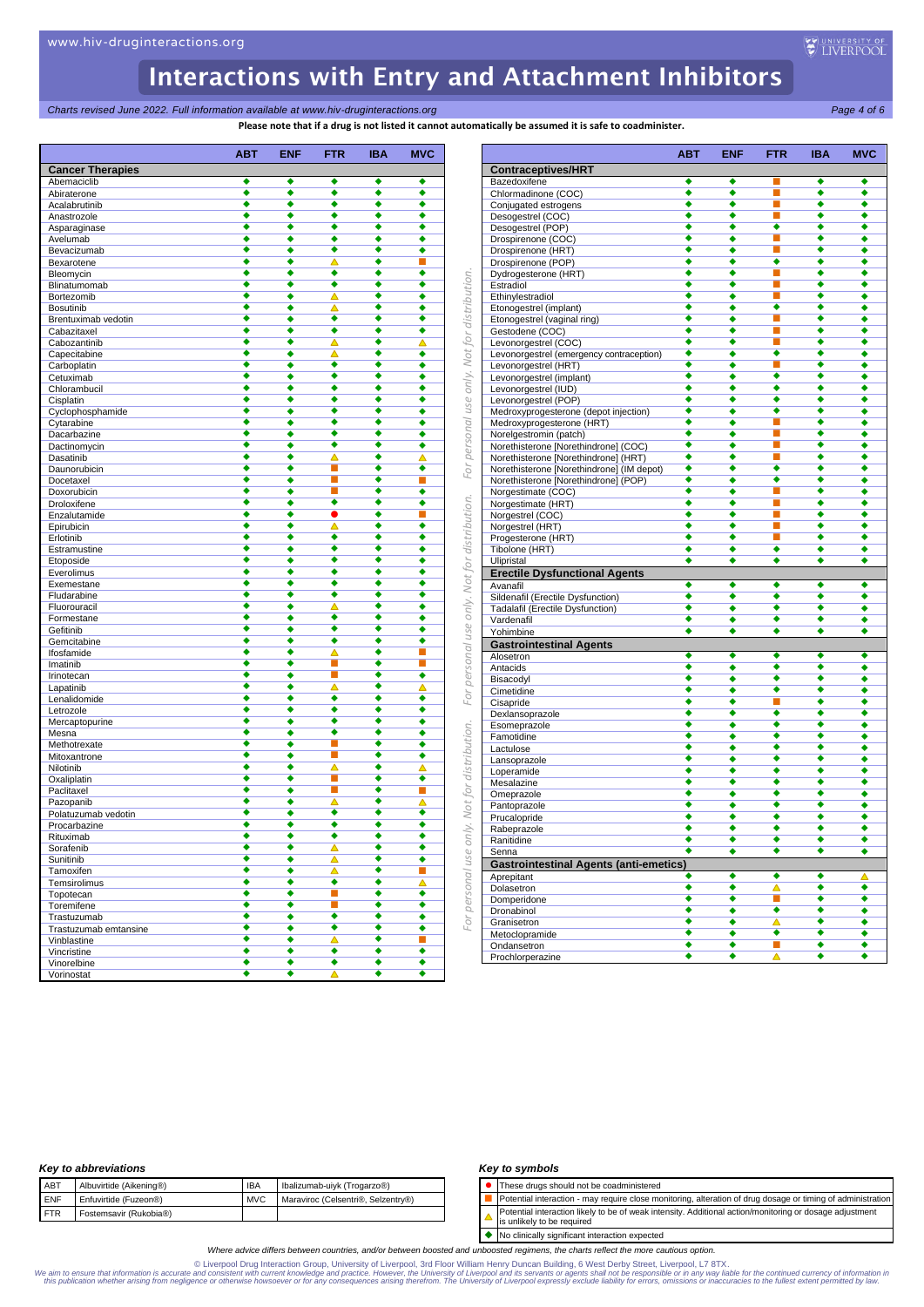*For personal use only. Not for distribution. For personal use only. Not for distribution. For personal use only. Not for distribution.*

For personal use only. Not for distribution.

For personal use only. Not for distribution.

use only. Not for distribution.

For personal

**Charts revised June 2022. Full information available at www.hiv-druginteractions.org** Page 4 of 6<sup>2</sup>

**Please note that if a drug is not listed it cannot automatically be assumed it is safe to coadminister.**

|                                      | ABT    | <b>ENF</b> | <b>FTR</b>                  | <b>IBA</b>                | <b>MVC</b>                |
|--------------------------------------|--------|------------|-----------------------------|---------------------------|---------------------------|
| <b>Cancer Therapies</b>              |        |            |                             |                           |                           |
| Abemaciclib                          | ٠      | ٠          | ٠                           | ٠                         | ٠                         |
| Abiraterone<br>Acalabrutinib         | ٠<br>٠ | ٠<br>٠     | ٠<br>٠                      | ٠<br>$\overline{\bullet}$ | ٠<br>$\overline{\bullet}$ |
| Anastrozole                          | ٠      | ٠          | ٠                           | ٠                         | ٠                         |
| Asparaginase                         | ٠      | ٠          | ٠                           | ٠                         | ٠                         |
| Avelumab                             | ٠      | ٠          | ٠                           | ٠                         | ٠                         |
| Bevacizumab                          | ٠      | ٠          | ٠                           | ٠                         | ٠                         |
| Bexarotene                           | ٠<br>٠ | ٠<br>٠     | Δ<br>٠                      | ٠<br>٠                    | п<br>٠                    |
| Bleomycin<br>Blinatumomab            | ٠      | ٠          | ٠                           | ٠                         | ٠                         |
| Bortezomib                           | ٠      | ٠          | Δ                           | ٠                         | ٠                         |
| <b>Bosutinib</b>                     | ٠      | ٠          | Δ                           | $\overline{\bullet}$      | ٠                         |
| Brentuximab vedotin                  | ٠      | ٠          | ٠                           | ٠                         | ٠                         |
| Cabazitaxel                          | ٠      | ٠          | ٠                           | ٠                         | ٠                         |
| Cabozantinib                         | ٠<br>٠ | ٠<br>٠     | Δ<br>▵                      | ٠<br>٠                    | △<br>٠                    |
| Capecitabine<br>Carboplatin          | ٠      | ٠          | ٠                           | ٠                         | ٠                         |
| Cetuximab                            | ٠      | ٠          | ٠                           | $\overline{\bullet}$      | ٠                         |
| Chlorambucil                         | ٠      | ٠          | ٠                           | ٠                         | ٠                         |
| Cisplatin                            | ٠      | ٠          | ٠                           | ٠                         | ٠                         |
| Cyclophosphamide                     | ٠      | ٠          | ٠                           | ٠                         | ٠                         |
| Cytarabine                           | ٠      | ٠          | ٠                           | ٠                         | ٠                         |
| Dacarbazine                          | ٠<br>٠ | ٠<br>٠     | ٠<br>٠                      | ٠<br>٠                    | ٠<br>٠                    |
| Dactinomycin<br>Dasatinib            | ٠      | ٠          | Δ                           | ٠                         | Δ                         |
| Daunorubicin                         | ٠      | ٠          | П                           | ٠                         | ٠                         |
| Docetaxel                            | ٠      | ٠          | п                           | ٠                         | ĩ.                        |
| Doxorubicin                          | ٠      | ٠          | ٠                           | ٠                         | ٠                         |
| Droloxifene                          | ٠      | ٠          | ٠                           | ٠                         | ٠                         |
| Enzalutamide                         | ٠      | ٠          |                             | ٠                         | П                         |
| Epirubicin                           | ٠      | ٠          | Δ                           | ٠                         | ٠                         |
| Erlotinib<br>Estramustine            | ٠<br>٠ | ٠<br>٠     | ٠<br>٠                      | ٠<br>٠                    | ٠<br>٠                    |
| Etoposide                            | ٠      | ٠          | ٠                           | ٠                         | ٠                         |
| Everolimus                           | ٠      | ٠          | ٠                           | ٠                         | ٠                         |
| Exemestane                           | ٠      | ٠          | ٠                           | ٠                         | ٠                         |
| Fludarabine                          | ٠      | ٠          | ٠                           | ٠                         | ٠                         |
| Fluorouracil                         | ٠      | ٠          | Δ                           | ٠                         | ٠                         |
| Formestane                           | ٠      | ٠          | ٠<br>٠                      | ٠                         | ٠                         |
| Gefitinib<br>Gemcitabine             | ٠<br>٠ | ٠<br>٠     | ٠                           | ٠<br>٠                    | ٠<br>٠                    |
| Ifosfamide                           | ٠      | ٠          | Δ                           | ٠                         | П                         |
| Imatinib                             | ٠      | ٠          | ш                           | ٠                         | ▬                         |
| Irinotecan                           | ٠      | ٠          | п                           | ٠                         | ٠                         |
| Lapatinib                            | ٠      | ٠          | ▵                           | ٠                         | Δ                         |
| Lenalidomide                         | ٠      | ٠          | ٠                           | ٠                         | ٠                         |
| Letrozole                            | ◆      | ٠          | ٠                           | ٠<br>$\overline{\bullet}$ | ٠                         |
| Mercaptopurine<br>Mesna              | ٠<br>٠ | ٠<br>٠     | ٠<br>٠                      | ٠                         | ٠<br>٠                    |
| Methotrexate                         | ٠      | ٠          | п                           | ٠                         | ٠                         |
| Mitoxantrone                         | ٠      | ٠          | П                           | ٠                         | ٠                         |
| Nilotinib                            | ٠      | ٠          | Δ                           | ٠                         | Δ                         |
| Oxaliplatin                          | ٠      | ٠          | П                           | ٠                         | ٠                         |
| Paclitaxel                           | ٠      | ٠          | п                           | ٠                         | П                         |
| Pazopanib                            | ٠      | ٠          | Δ                           | ٠                         | Δ                         |
| Polatuzumab vedotin                  | ٠      | ٠          | ٠                           | ٠                         | ٠                         |
| Procarbazine<br>Rituximab            | ٠      | ٠          | ٠                           | ٠                         | ٠                         |
| Sorafenib                            | ٠      | ٠          | $\overline{\blacktriangle}$ | ٠                         | ٠                         |
| Sunitinib                            | ٠      | ٠          | Δ                           | ٠                         | ٠                         |
| Tamoxifen                            | ٠      | ٠          | Δ                           | ٠                         | ш                         |
| Temsirolimus                         | ٠      | ٠          | ٠                           | ٠                         | Δ                         |
| Topotecan                            | ٠      | ٠          | П                           | ٠                         | ٠                         |
| Toremifene                           | ٠      | ٠          |                             | ٠                         | ٠                         |
| Trastuzumab<br>Trastuzumab emtansine | ٠<br>٠ | ٠<br>٠     | ٠<br>٠                      | ٠<br>٠                    | ٠<br>٠                    |
| Vinblastine                          | ٠      | ٠          | Δ                           | ٠                         | п                         |
| Vincristine                          | ٠      | ٠          | ٠                           | ٠                         | ٠                         |
| Vinorelbine                          | ٠      | ٠          | ٠                           | ٠                         | ٠                         |
| Vorinostat                           | ٠      | ٠          | Δ                           | ٠                         | ٠                         |

|                                                                                   | АВТ                       | ENF    | <b>FTR</b>                  | IBA                  | <b>MVC</b> |
|-----------------------------------------------------------------------------------|---------------------------|--------|-----------------------------|----------------------|------------|
| <b>Contraceptives/HRT</b>                                                         |                           |        |                             |                      |            |
| Bazedoxifene                                                                      | ٠                         | ٠      | ш                           | ٠                    | ٠          |
| Chlormadinone (COC)                                                               | ٠                         | ٠      | ×                           | ٠                    | ٠          |
| Conjugated estrogens                                                              | ٠                         | ٠<br>٠ | ■                           | ٠<br>٠               | ٠<br>٠     |
| Desogestrel (COC)<br>Desogestrel (POP)                                            |                           | ٠      | ٠                           | ٠                    | ٠          |
| Drospirenone (COC)                                                                |                           |        | ■                           | ٠                    | ٠          |
| Drospirenone (HRT)                                                                | ٠                         | ٠      |                             | ٠                    | ٠          |
| Drospirenone (POP)                                                                | ٠                         | ٠      | ٠                           | ٠                    | ٠          |
| Dydrogesterone (HRT)                                                              | ٠                         | ٠      |                             | ٠                    | ٠          |
| Estradiol<br>Ethinylestradiol                                                     | ٠<br>٠                    | ٠<br>٠ | п                           | ٠<br>٠               | ٠<br>٠     |
| Etonogestrel (implant)                                                            | ٠                         | ٠      | ٠                           | ٠                    | ٠          |
| Etonogestrel (vaginal ring)                                                       | ٠                         | ٠      |                             | ٠                    | ٠          |
| Gestodene (COC)                                                                   | ٠                         | ٠      | П                           | ٠                    | ٠          |
| Levonorgestrel (COC)                                                              | ٠                         | ٠      | п                           | ٠                    | ٠          |
| Levonorgestrel (emergency contraception)                                          | ٠                         | ٠      | ٠                           | ٠                    | ٠          |
| Levonorgestrel (HRT)                                                              | ٠<br>٠                    | ٠      | п<br>٠                      | ٠<br>٠               | ٠          |
| Levonorgestrel (implant)<br>Levonorgestrel (IUD)                                  |                           | ٠<br>٠ | ٠                           | ٠                    | ٠<br>٠     |
| Levonorgestrel (POP)                                                              | ٠                         | ٠      | ٠                           | ٠                    | ٠          |
| Medroxyprogesterone (depot injection)                                             | ٠                         | ٠      | ٠                           | ٠                    | ٠          |
| Medroxyprogesterone (HRT)                                                         | ٠                         | ٠      |                             | ٠                    | ٠          |
| Norelgestromin (patch)                                                            | ٠                         | ٠      | П                           | ٠                    | ٠          |
| Norethisterone [Norethindrone] (COC)                                              | ٠                         | ٠      |                             | ٠                    | ٠          |
| Norethisterone [Norethindrone] (HRT)                                              | ٠<br>٠                    | ٠<br>٠ | П<br>٠                      | ٠<br>٠               | ٠<br>٠     |
| Norethisterone [Norethindrone] (IM depot)<br>Norethisterone [Norethindrone] (POP) | ٠                         | ٠      | ٠                           | ٠                    | ٠          |
| Norgestimate (COC)                                                                | $\overline{\bullet}$      | ٠      | п                           | ٠                    | ٠          |
| Norgestimate (HRT)                                                                | ٠                         | ٠      | П                           | ٠                    | ٠          |
| Norgestrel (COC)                                                                  | ٠                         | ٠      | п                           | ٠                    | ٠          |
| Norgestrel (HRT)                                                                  | ٠                         | ٠      | П                           | ٠                    | ٠          |
| Progesterone (HRT)                                                                | ٠                         | ٠      | п                           | ٠                    | ٠          |
| Tibolone (HRT)<br><b>Ulipristal</b>                                               | ٠<br>٠                    | ٠<br>٠ | ٠<br>٠                      | ٠<br>٠               | ٠<br>٠     |
| <b>Erectile Dysfunctional Agents</b>                                              |                           |        |                             |                      |            |
| Avanafil                                                                          | ٠                         | ٠      | ٠                           | ٠                    | ٠          |
| Sildenafil (Erectile Dysfunction)                                                 | ٠                         | ٠      | ٠                           | ٠                    | ٠          |
| Tadalafil (Erectile Dysfunction)                                                  | ٠                         | ٠      | ٠                           | ٠                    | ٠          |
| Vardenafil                                                                        | ٠                         | ٠      | ٠                           | ٠                    | ٠          |
| Yohimbine                                                                         | ٠                         | ٠      | $\overline{\bullet}$        | ٠                    | ٠          |
| <b>Gastrointestinal Agents</b><br>Alosetron                                       | ٠                         | ٠      | ٠                           | ٠                    | ٠          |
| Antacids                                                                          | ٠                         | ٠      | ٠                           | ٠                    | ٠          |
| Bisacodyl                                                                         | ٠                         | ٠      | ٠                           | ٠                    | ٠          |
| Cimetidine                                                                        | ٠                         | ٠      | ٠                           | ٠                    | ٠          |
| Cisapride                                                                         | ٠                         | ٠      |                             | ٠                    | ٠          |
| Dexlansoprazole                                                                   | ٠                         | ٠      | ٠                           | ٠                    | ٠          |
| Esomeprazole<br>Famotidine                                                        | ٠<br>٠                    | ٠<br>٠ | ٠<br>٠                      | ٠<br>٠               | ٠<br>٠     |
| Lactulose                                                                         | ٠                         | ٠      | ٠                           | ٠                    | ٠          |
| Lansoprazole                                                                      | ٠                         | ٠      | ٠                           | ٠                    | ٠          |
| Loperamide                                                                        | ٠                         | ٠      | ٠                           | ٠                    | ٠          |
| Mesalazine                                                                        | ٠                         | ٠      | ٠                           | ٠                    | ٠          |
| Omeprazole                                                                        |                           | ٠      | ▲                           |                      | ٠          |
| Pantoprazole                                                                      |                           | ٠      | ٠<br>٠                      | ٠                    | ٠          |
| Prucalopride<br>Rabeprazole                                                       |                           | ٠<br>٠ | ٠                           | ٠                    | ٠<br>٠     |
| Ranitidine                                                                        |                           |        |                             |                      |            |
| Senna                                                                             | ٠                         | ٠      | ٠                           | ٠                    | ٠          |
| <b>Gastrointestinal Agents (anti-emetics)</b>                                     |                           |        |                             |                      |            |
| Aprepitant                                                                        | ٠                         | ٠      | ٠                           | ٠                    | Δ          |
| Dolasetron                                                                        | ٠                         | ٠      | Δ                           | $\overline{\bullet}$ | ٠          |
| Domperidone                                                                       | ٠<br>$\overline{\bullet}$ | ٠      | п<br>٠                      | ٠<br>٠               | ٠          |
| Dronabinol                                                                        | ٠                         | ٠<br>٠ | Δ                           | ٠                    | ٠<br>٠     |
| Granisetron<br>Metoclopramide                                                     | ٠                         | ٠      | ٠                           | ٠                    | ٠          |
| Ondansetron                                                                       | ٠                         | ٠      | $\mathcal{L}_{\mathcal{A}}$ | ٠                    | ٠          |
| Prochlorperazine                                                                  | ٠                         | ٠      | Δ                           | ٠                    | ٠          |

### *Key to abbreviations*

| <b>ABT</b>  | Albuvirtide (Aikening®) | <b>IBA</b> | Ibalizumab-uiyk (Trogarzo®)        |
|-------------|-------------------------|------------|------------------------------------|
| <b>ENF</b>  | Enfuvirtide (Fuzeon®)   | <b>MVC</b> | Maraviroc (Celsentri®, Selzentry®) |
| <b>IFTR</b> | Fostemsavir (Rukobia®)  |            |                                    |
|             |                         |            |                                    |

### *Key to symbols*

⚫ These drugs should not be coadministered

Potential interaction - may require close monitoring, alteration of drug dosage or timing of administration Potential interaction likely to be of weak intensity. Additional action/monitoring or dosage adjustment  $\Delta$ 

is unlikely to be required ◆ No clinically significant interaction expected

*Where advice differs between countries, and/or between boosted and unboosted regimens, the charts reflect the more cautious option.*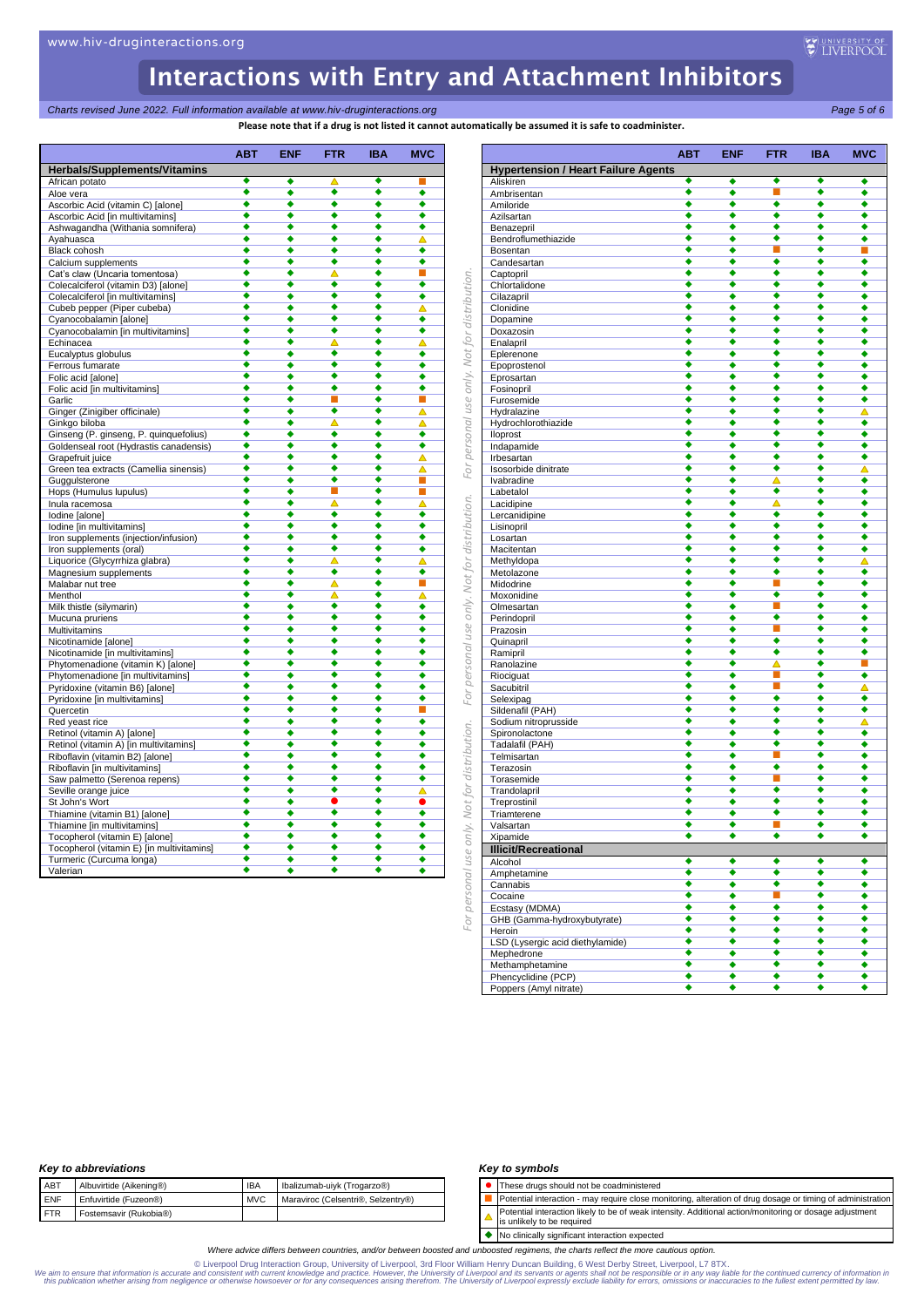use only. Not for distribution.

For personal

For personal use only. Not for distribution.

For personal use only. Not for distribution.

*Charts revised June 2022. Full information available at www.hiv-druginteractions.org Page 5 of 6*

**Please note that if a drug is not listed it cannot automatically be assumed it is safe to coadminister.**

|                                                     | <b>ABT</b> | <b>ENF</b> | <b>FTR</b> | <b>IBA</b>           | <b>MVC</b>           |
|-----------------------------------------------------|------------|------------|------------|----------------------|----------------------|
| <b>Herbals/Supplements/Vitamins</b>                 |            |            |            |                      |                      |
| African potato                                      | ٠          | ٠          | Δ          | ٠                    |                      |
| Aloe vera                                           | ٠          | ٠          | ٠          | ٠                    | ٠                    |
| Ascorbic Acid (vitamin C) [alone]                   | ٠          |            | 4          | ō                    | ◆                    |
| Ascorbic Acid [in multivitamins]                    | ٠          | ٠          | ٠          | ٠                    | ٠                    |
| Ashwagandha (Withania somnifera)                    | ٠          | ٠          | ٠          | ۰                    | ٠                    |
| Ayahuasca                                           | ٠          | ٠          | ٠          | ٠                    | Δ                    |
| Black cohosh                                        |            | ٠          | ٠          | ۰                    | ٠                    |
| Calcium supplements                                 | ٠          | ۰          | ٠          | ٠                    | ٠                    |
| Cat's claw (Uncaria tomentosa)                      | ٠          | ٠          | Δ          | ۰                    | П                    |
| Colecalciferol (vitamin D3) [alone]                 | ٠<br>۵     | ۵          | ٠<br>٠     | ٠<br>۰               | ٠                    |
| Colecalciferol [in multivitamins]                   | ٠          | ٠          | ٠          | ٠                    | ٠                    |
| Cubeb pepper (Piper cubeba)                         | ٠          | ٠          | ٠          |                      | Δ                    |
| Cyanocobalamin [alone]                              |            | ٠<br>٠     | ٠          | ٠<br>۰               | ٠<br>◆               |
| Cyanocobalamin [in multivitamins]                   | ٠          | ٠          |            | ٠                    | Δ                    |
| Echinacea                                           | ٠          | ٠          | ٠          | ٠                    |                      |
| Eucalyptus globulus                                 | ٠          | ٠          | ٠          | $\overline{\bullet}$ | ٠<br>٠               |
| Ferrous fumarate                                    | ٠          | ٠          | ٠          | ۰                    | ٠                    |
| Folic acid [alone]<br>Folic acid [in multivitamins] | ٠          | ۵          | ٠          | ٠                    | ٠                    |
| Garlic                                              | ٠          | ٠          | ■          | ٠                    | П                    |
| Ginger (Zinigiber officinale)                       |            |            | ∙          | ō                    | Δ                    |
| Ginkgo biloba                                       | ٠          | ٠          | ́          | ٠                    | Δ                    |
| Ginseng (P. ginseng, P. quinquefolius)              | ٠          | ٠          | ٠          | ٠                    | ٠                    |
| Goldenseal root (Hydrastis canadensis)              | ٠          | ٠          | ٠          | ٠                    | ٠                    |
| Grapefruit juice                                    | ▲          | ٠          | ٠          | ٠                    | ▵                    |
| Green tea extracts (Camellia sinensis)              | ٠          | ٠          | ٠          | ٠                    | Δ                    |
| Guggulsterone                                       | ٠          | ٠          | ٠          | ٠                    | ш                    |
| Hops (Humulus lupulus)                              | ٠          | ۰          | п          | ٠                    | П                    |
| Inula racemosa                                      | ٠          | ٠          | Δ          | ٠                    | Δ                    |
| Iodine [alone]                                      |            | ٠          | ٠          | ō                    | ٠                    |
| Iodine [in multivitamins]                           | ٠          | ٠          | ٠          | ٠                    | ٠                    |
| Iron supplements (injection/infusion)               |            | ٠          | 4          | ō                    | ٠                    |
| Iron supplements (oral)                             | ٠          | ٠          | ٠          | ٠                    | ٠                    |
| Liquorice (Glycyrrhiza glabra)                      | ٠          | ٠          | Δ          | ۰                    | Δ                    |
| Magnesium supplements                               | ٠          | ٠          | ٠          | ٠                    | ٠                    |
| Malabar nut tree                                    | ٠          | ٠          | Δ          | ۰                    | п                    |
| Menthol                                             | ٠          | ٠          | Δ          | ٠                    | Δ                    |
| Milk thistle (silymarin)                            | ٠          | ٠          | ٠          | ٠                    | ٠                    |
| Mucuna pruriens                                     | ٠          | ٠          | ٠          | ٠                    | ٠                    |
| <b>Multivitamins</b>                                | ٠          | ٠          | ٠          | ٠                    | ٠                    |
| Nicotinamide [alone]                                | ▲          | ٠          | ▲          | ۸                    | ٠                    |
| Nicotinamide [in multivitamins]                     | ٠          | ٠          | ٠          | ٠                    | ٠                    |
| Phytomenadione (vitamin K) [alone]                  | ▲          | ٠          | ▲          | ۸                    | ٠                    |
| Phytomenadione [in multivitamins]                   | ∙          | ٠          | ٠          | $\overline{\bullet}$ | ٠                    |
| Pyridoxine (vitamin B6) [alone]                     | ٠          | ٠          | ٠          | ٠                    | ٠                    |
| Pyridoxine [in multivitamins]                       | ٠          | ٠          | ٠          | ٠                    | ٠                    |
| Quercetin                                           | ٠          | ٠          | ٠          | ٠                    | П                    |
| Red yeast rice                                      | ۵          | ٠          | 4          | ō                    | ٠                    |
| Retinol (vitamin A) [alone]                         | ٠          | ٠          | ٠          | ٠                    | ٠                    |
| Retinol (vitamin A) [in multivitamins]              |            | ٠          | ▲          | ۰                    | ٠                    |
| Riboflavin (vitamin B2) [alone]                     | ٠          | ٠          | ٠          | ٠                    | ٠                    |
| Riboflavin [in multivitamins]                       | ٠          | ٠          | ٠          | ٠                    | ٠                    |
| Saw palmetto (Serenoa repens)                       | ٠          | ٠          | ٠          | ٠                    | $\overline{\bullet}$ |
| Seville orange juice                                | ٠          | ٠          | ▲          | ۰                    | ▵                    |
| St John's Wort                                      | ٠          | ó          |            | $\overline{\bullet}$ |                      |
| Thiamine (vitamin B1) [alone]                       | ٠          | ٠          | ٠          | ٠                    | ٠                    |
| Thiamine [in multivitamins]                         | ۵          | ۵          | ٠          | ۵                    | ۵                    |
| Tocopherol (vitamin E) [alone]                      | ٠<br>٠     | ٠          | ٠<br>٠     | ٠<br>۰               | ٠                    |
| Tocopherol (vitamin E) [in multivitamins]           |            | ٠          |            |                      | ٠                    |
| Turmeric (Curcuma longa)<br>Valerian                | ٠<br>٠     | ٠<br>٠     | ٠<br>٠     | ٠<br>۰               | ٠<br>4               |
|                                                     |            |            |            |                      |                      |

|                                            | АВТ                  | ENF    | FTR                  | IBA    | MVC    |
|--------------------------------------------|----------------------|--------|----------------------|--------|--------|
| <b>Hypertension / Heart Failure Agents</b> |                      |        |                      |        |        |
| Aliskiren                                  | ٠<br>٠               | ٠<br>٠ | ٠<br>П               | ٠<br>٠ | ٠<br>٠ |
| Ambrisentan                                | ٠                    | ٠      | $\overline{\bullet}$ | ٠      | ٠      |
| Amiloride                                  | ٠                    | ٠      | ٠                    | ٠      | ٠      |
| Azilsartan                                 | ٠                    | ٠      | ٠                    | ٠      | ٠      |
| Benazepril<br>Bendroflumethiazide          | ٠                    | ٠      | ٠                    | ٠      | ٠      |
| Bosentan                                   | ٠                    | ٠      | п                    | ٠      |        |
|                                            | ٠                    | ٠      | ٠                    | ٠      | ٠      |
| Candesartan                                | ٠                    | ٠      | ٠                    | ٠      | ٠      |
| Captopril<br>Chlortalidone                 | $\overline{\bullet}$ | ٠      | ٠                    | ٠      | ٠      |
| Cilazapril                                 | ٠                    | ٠      | ٠                    | ٠      | ٠      |
| Clonidine                                  | ٠                    | ٠      | ٠                    | ٠      | ٠      |
| Dopamine                                   | ٠                    | ٠      | ٠                    | ٠      | ٠      |
| Doxazosin                                  | ٠                    | ٠      | ٠                    | ٠      | ٠      |
| Enalapril                                  | ٠                    | ٠      | ٠                    | ٠      | ٠      |
| Eplerenone                                 | ٠                    | ٠      | ٠                    | ٠      | ٠      |
| Epoprostenol                               | ٠                    | ٠      | ٠                    | ٠      | ٠      |
| Eprosartan                                 | ٠                    | ٠      | $\overline{\bullet}$ | ٠      | ٠      |
| Fosinopril                                 | ٠                    | ٠      | ٠                    | ٠      | ٠      |
| Furosemide                                 | ٠                    | ٠      | ٠                    | ٠      | ٠      |
| Hydralazine                                | ٠                    | ٠      | ٠                    | ٠      | Δ      |
| Hydrochlorothiazide                        | ٠                    | ٠      | ٠                    | ٠      | ٠      |
| lloprost                                   | ٠                    | ٠      | ٠                    | ٠      | ٠      |
| Indapamide                                 | ٠                    | ٠      | ٠                    | ٠      |        |
| Irbesartan                                 | ٠                    | ٠      | ٠                    | ٠      | ٠      |
| Isosorbide dinitrate                       | ٠                    | ٠      | ◆                    | ٠      | Δ      |
| Ivabradine                                 | ٠                    | ٠      | Δ                    | ٠      | ٠      |
| Labetalol                                  | ٠                    | ٠      | ٠                    | ٠      | ٠      |
| Lacidipine                                 | ٠                    | ٠      | Δ                    | ٠      | ٠      |
| Lercanidipine                              | $\overline{\bullet}$ | ٠      | ٠                    | ٠      | ٠      |
| Lisinopril                                 | ٠                    | ٠      | $\overline{\bullet}$ | ٠      | ٠      |
| Losartan                                   | ٠                    | ٠      | ٠                    | ٠      | ٠      |
| Macitentan                                 | ٠                    | ٠      | $\overline{\bullet}$ | ٠      | ٠      |
| Methyldopa                                 | ٠                    | ٠      | ٠                    | ٠      | Δ      |
| Metolazone                                 | ٠                    | ٠      | ٠                    | ٠      | ٠      |
| Midodrine                                  | ٠                    | ٠      | r.                   | ٠      | ٠      |
| Moxonidine                                 | ٠                    | ٠      | ٠                    | ٠      | ٠      |
| Olmesartan                                 | ٠                    | ٠      | r.                   | ٠      | ٠      |
| Perindopril                                | ٠                    | ٠      | ٠                    | ٠      | ٠      |
| Prazosin                                   | ٠                    | ٠      | r.                   | ٠      | ٠      |
| Quinapril                                  | ٠                    | ٠      | ٠                    | ٠      |        |
| Ramipril                                   | ٠                    | ٠      | ٠                    | ٠      | ٠      |
| Ranolazine                                 | ٠                    | ٠      | ▵                    | ٠      | П      |
| Riociguat                                  | ٠                    | ٠      | П                    | ٠      | ٠      |
| Sacubitril                                 | ٠                    | ٠      | п                    | ٠      | Δ      |
| Selexipag                                  | ٠                    | ٠      | $\overline{\bullet}$ | ٠      | ٠      |
| Sildenafil (PAH)                           | ٠                    | ٠      | ٠                    | ٠      | ٠      |
| Sodium nitroprusside                       | ٠                    | ٠      | $\overline{\bullet}$ | ٠      | Δ      |
| Spironolactone                             | ٠                    | ٠      | ٠                    | ٠      | ٠      |
| Tadalafil (PAH)                            | ٠                    | ٠      | ٠                    | ٠      | ٠      |
| Telmisartan                                | ٠                    | ٠      | r.                   | ٠      | ٠      |
| Terazosin                                  | ٠                    | ٠      | ٠                    | ٠      | ٠      |
| Torasemide                                 | ٠                    | ٠      | ▉                    | ٠      | ٠      |
| Trandolapril                               | ٠                    | ٠      | ٠                    | ٠      | ٠      |
| Treprostinil                               | ٠                    | ٠      | ٠                    | ٠      | ٠      |
| Triamterene                                | ٠                    | ٠      | ٠                    | ٠      | ٠      |
| Valsartan                                  | ٠                    | ٠      | ▉                    | ٠      | ٠      |
| Xipamide                                   | ٠                    | ٠      | ٠                    | ٠      | ٠      |
| <u>Illicit/Recreational</u>                |                      |        |                      |        |        |
| Alcohol                                    | ٠                    | ٠      | ٠                    | ٠      | ٠      |
| Amphetamine                                | ٠                    | ٠      | ٠                    | ٠      | ٠      |
| Cannabis                                   | ٠                    | ٠      | ٠                    | ٠      | ٠      |
| Cocaine                                    | ٠                    | ٠      | п                    | ٠      | ٠      |
| Ecstasy (MDMA)                             | ٠                    | ٠      | ٠                    | ٠      | ٠      |
| GHB (Gamma-hydroxybutyrate)                | ٠                    | ٠      | ٠                    | ٠      | ٠      |
| Heroin                                     | ٠                    | ٠      | ٠                    | ٠      | ٠      |
| LSD (Lysergic acid diethylamide)           | ٠                    | ٠      | ٠                    | ٠      | ٠      |
| Mephedrone                                 | ٠                    | ٠      | ٠                    | ٠      | ٠      |
| Methamphetamine                            | ٠                    | ٠      | ٠                    | ٠      | ٠      |
| Phencyclidine (PCP)                        | ٠                    | ٠      | ٠                    | ٠      | ٠      |
| Poppers (Amyl nitrate)                     | ٠                    | ٠      | ٠                    | ٠      | ٠      |

## *Key to abbreviations*

|            | <b>Nev to apple videons</b> |            |                                    |
|------------|-----------------------------|------------|------------------------------------|
| ABT        | Albuvirtide (Aikening®)     | <b>IBA</b> | Ibalizumab-uiyk (Trogarzo®)        |
| <b>ENF</b> | Enfuvirtide (Fuzeon®)       | <b>MVC</b> | Maraviroc (Celsentri®, Selzentry®) |
| <b>FTR</b> | Fostemsavir (Rukobia®)      |            |                                    |
|            |                             |            |                                    |

### *Key to symbols*

⚫ These drugs should not be coadministered

- Potential interaction may require close monitoring, alteration of drug dosage or timing of administration Potential interaction likely to be of weak intensity. Additional action/monitoring or dosage adjustment
- $\blacktriangle$ is unlikely to be required

◆ No clinically significant interaction expected

*Where advice differs between countries, and/or between boosted and unboosted regimens, the charts reflect the more cautious option.*